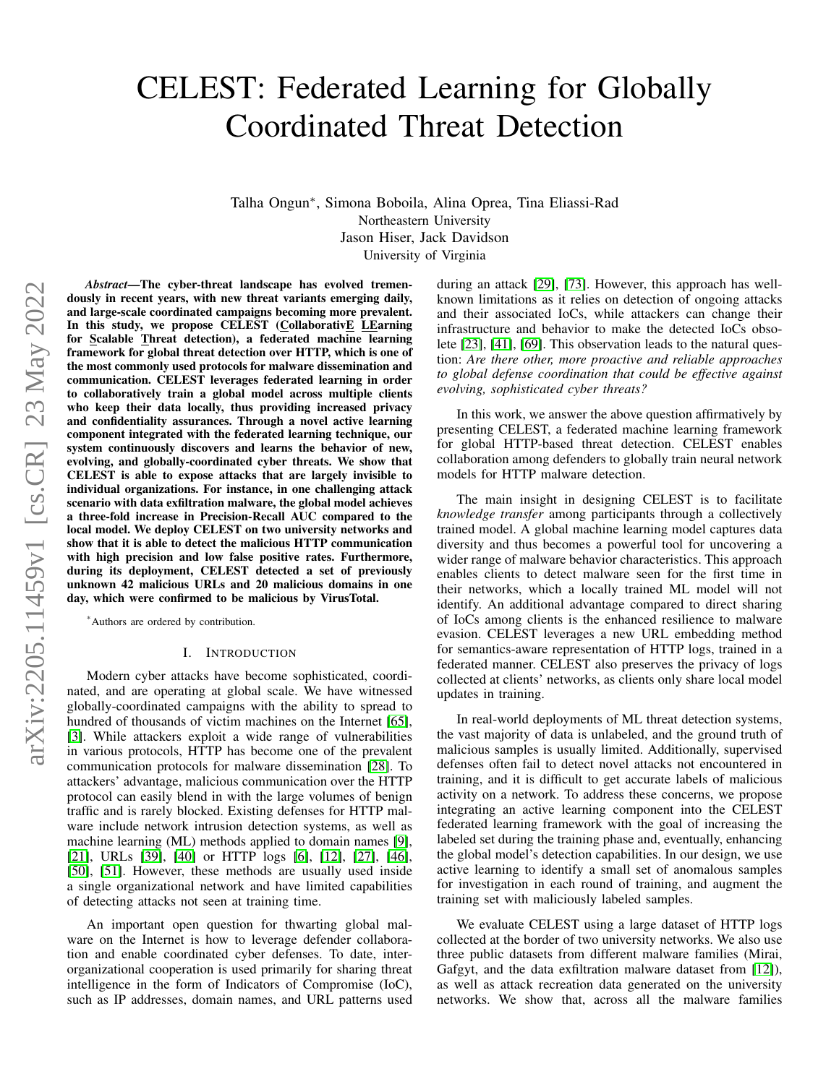# CELEST: Federated Learning for Globally Coordinated Threat Detection

Talha Ongun<sup>∗</sup> , Simona Boboila, Alina Oprea, Tina Eliassi-Rad Northeastern University Jason Hiser, Jack Davidson University of Virginia

arXiv:2205.11459v1 [cs.CR] 23 May 2022 arXiv:2205.11459v1 [cs.CR] 23 May 2022

*Abstract*—The cyber-threat landscape has evolved tremendously in recent years, with new threat variants emerging daily, and large-scale coordinated campaigns becoming more prevalent. In this study, we propose CELEST (CollaborativE LEarning for Scalable Threat detection), a federated machine learning framework for global threat detection over HTTP, which is one of the most commonly used protocols for malware dissemination and communication. CELEST leverages federated learning in order to collaboratively train a global model across multiple clients who keep their data locally, thus providing increased privacy and confidentiality assurances. Through a novel active learning component integrated with the federated learning technique, our system continuously discovers and learns the behavior of new, evolving, and globally-coordinated cyber threats. We show that CELEST is able to expose attacks that are largely invisible to individual organizations. For instance, in one challenging attack scenario with data exfiltration malware, the global model achieves a three-fold increase in Precision-Recall AUC compared to the local model. We deploy CELEST on two university networks and show that it is able to detect the malicious HTTP communication with high precision and low false positive rates. Furthermore, during its deployment, CELEST detected a set of previously unknown 42 malicious URLs and 20 malicious domains in one day, which were confirmed to be malicious by VirusTotal.

\*Authors are ordered by contribution.

#### I. INTRODUCTION

Modern cyber attacks have become sophisticated, coordinated, and are operating at global scale. We have witnessed globally-coordinated campaigns with the ability to spread to hundred of thousands of victim machines on the Internet [\[65\]](#page-14-0), [\[3\]](#page-13-0). While attackers exploit a wide range of vulnerabilities in various protocols, HTTP has become one of the prevalent communication protocols for malware dissemination [\[28\]](#page-13-1). To attackers' advantage, malicious communication over the HTTP protocol can easily blend in with the large volumes of benign traffic and is rarely blocked. Existing defenses for HTTP malware include network intrusion detection systems, as well as machine learning (ML) methods applied to domain names [\[9\]](#page-13-2), [\[21\]](#page-13-3), URLs [\[39\]](#page-14-1), [\[40\]](#page-14-2) or HTTP logs [\[6\]](#page-13-4), [\[12\]](#page-13-5), [\[27\]](#page-13-6), [\[46\]](#page-14-3), [\[50\]](#page-14-4), [\[51\]](#page-14-5). However, these methods are usually used inside a single organizational network and have limited capabilities of detecting attacks not seen at training time.

An important open question for thwarting global malware on the Internet is how to leverage defender collaboration and enable coordinated cyber defenses. To date, interorganizational cooperation is used primarily for sharing threat intelligence in the form of Indicators of Compromise (IoC), such as IP addresses, domain names, and URL patterns used during an attack [\[29\]](#page-13-7), [\[73\]](#page-15-0). However, this approach has wellknown limitations as it relies on detection of ongoing attacks and their associated IoCs, while attackers can change their infrastructure and behavior to make the detected IoCs obsolete [\[23\]](#page-13-8), [\[41\]](#page-14-6), [\[69\]](#page-15-1). This observation leads to the natural question: *Are there other, more proactive and reliable approaches to global defense coordination that could be effective against evolving, sophisticated cyber threats?*

In this work, we answer the above question affirmatively by presenting CELEST, a federated machine learning framework for global HTTP-based threat detection. CELEST enables collaboration among defenders to globally train neural network models for HTTP malware detection.

The main insight in designing CELEST is to facilitate *knowledge transfer* among participants through a collectively trained model. A global machine learning model captures data diversity and thus becomes a powerful tool for uncovering a wider range of malware behavior characteristics. This approach enables clients to detect malware seen for the first time in their networks, which a locally trained ML model will not identify. An additional advantage compared to direct sharing of IoCs among clients is the enhanced resilience to malware evasion. CELEST leverages a new URL embedding method for semantics-aware representation of HTTP logs, trained in a federated manner. CELEST also preserves the privacy of logs collected at clients' networks, as clients only share local model updates in training.

In real-world deployments of ML threat detection systems, the vast majority of data is unlabeled, and the ground truth of malicious samples is usually limited. Additionally, supervised defenses often fail to detect novel attacks not encountered in training, and it is difficult to get accurate labels of malicious activity on a network. To address these concerns, we propose integrating an active learning component into the CELEST federated learning framework with the goal of increasing the labeled set during the training phase and, eventually, enhancing the global model's detection capabilities. In our design, we use active learning to identify a small set of anomalous samples for investigation in each round of training, and augment the training set with maliciously labeled samples.

We evaluate CELEST using a large dataset of HTTP logs collected at the border of two university networks. We also use three public datasets from different malware families (Mirai, Gafgyt, and the data exfiltration malware dataset from [\[12\]](#page-13-5)), as well as attack recreation data generated on the university networks. We show that, across all the malware families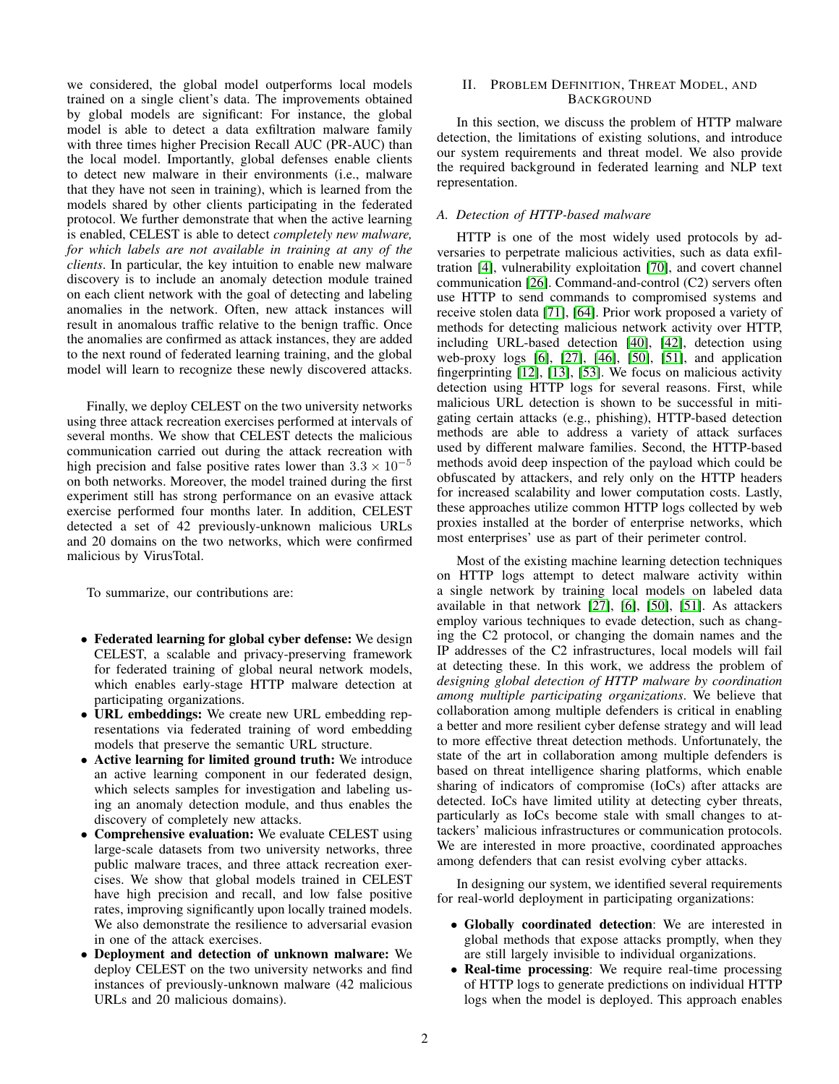we considered, the global model outperforms local models trained on a single client's data. The improvements obtained by global models are significant: For instance, the global model is able to detect a data exfiltration malware family with three times higher Precision Recall AUC (PR-AUC) than the local model. Importantly, global defenses enable clients to detect new malware in their environments (i.e., malware that they have not seen in training), which is learned from the models shared by other clients participating in the federated protocol. We further demonstrate that when the active learning is enabled, CELEST is able to detect *completely new malware, for which labels are not available in training at any of the clients*. In particular, the key intuition to enable new malware discovery is to include an anomaly detection module trained on each client network with the goal of detecting and labeling anomalies in the network. Often, new attack instances will result in anomalous traffic relative to the benign traffic. Once the anomalies are confirmed as attack instances, they are added to the next round of federated learning training, and the global model will learn to recognize these newly discovered attacks.

Finally, we deploy CELEST on the two university networks using three attack recreation exercises performed at intervals of several months. We show that CELEST detects the malicious communication carried out during the attack recreation with high precision and false positive rates lower than  $3.3 \times 10^{-5}$ on both networks. Moreover, the model trained during the first experiment still has strong performance on an evasive attack exercise performed four months later. In addition, CELEST detected a set of 42 previously-unknown malicious URLs and 20 domains on the two networks, which were confirmed malicious by VirusTotal.

To summarize, our contributions are:

- Federated learning for global cyber defense: We design CELEST, a scalable and privacy-preserving framework for federated training of global neural network models, which enables early-stage HTTP malware detection at participating organizations.
- URL embeddings: We create new URL embedding representations via federated training of word embedding models that preserve the semantic URL structure.
- Active learning for limited ground truth: We introduce an active learning component in our federated design, which selects samples for investigation and labeling using an anomaly detection module, and thus enables the discovery of completely new attacks.
- Comprehensive evaluation: We evaluate CELEST using large-scale datasets from two university networks, three public malware traces, and three attack recreation exercises. We show that global models trained in CELEST have high precision and recall, and low false positive rates, improving significantly upon locally trained models. We also demonstrate the resilience to adversarial evasion in one of the attack exercises.
- Deployment and detection of unknown malware: We deploy CELEST on the two university networks and find instances of previously-unknown malware (42 malicious URLs and 20 malicious domains).

## II. PROBLEM DEFINITION, THREAT MODEL, AND BACKGROUND

In this section, we discuss the problem of HTTP malware detection, the limitations of existing solutions, and introduce our system requirements and threat model. We also provide the required background in federated learning and NLP text representation.

# *A. Detection of HTTP-based malware*

HTTP is one of the most widely used protocols by adversaries to perpetrate malicious activities, such as data exfiltration [\[4\]](#page-13-9), vulnerability exploitation [\[70\]](#page-15-2), and covert channel communication [\[26\]](#page-13-10). Command-and-control (C2) servers often use HTTP to send commands to compromised systems and receive stolen data [\[71\]](#page-15-3), [\[64\]](#page-14-7). Prior work proposed a variety of methods for detecting malicious network activity over HTTP, including URL-based detection [\[40\]](#page-14-2), [\[42\]](#page-14-8), detection using web-proxy logs [\[6\]](#page-13-4), [\[27\]](#page-13-6), [\[46\]](#page-14-3), [\[50\]](#page-14-4), [\[51\]](#page-14-5), and application fingerprinting [\[12\]](#page-13-5), [\[13\]](#page-13-11), [\[53\]](#page-14-9). We focus on malicious activity detection using HTTP logs for several reasons. First, while malicious URL detection is shown to be successful in mitigating certain attacks (e.g., phishing), HTTP-based detection methods are able to address a variety of attack surfaces used by different malware families. Second, the HTTP-based methods avoid deep inspection of the payload which could be obfuscated by attackers, and rely only on the HTTP headers for increased scalability and lower computation costs. Lastly, these approaches utilize common HTTP logs collected by web proxies installed at the border of enterprise networks, which most enterprises' use as part of their perimeter control.

Most of the existing machine learning detection techniques on HTTP logs attempt to detect malware activity within a single network by training local models on labeled data available in that network [\[27\]](#page-13-6), [\[6\]](#page-13-4), [\[50\]](#page-14-4), [\[51\]](#page-14-5). As attackers employ various techniques to evade detection, such as changing the C2 protocol, or changing the domain names and the IP addresses of the C2 infrastructures, local models will fail at detecting these. In this work, we address the problem of *designing global detection of HTTP malware by coordination among multiple participating organizations*. We believe that collaboration among multiple defenders is critical in enabling a better and more resilient cyber defense strategy and will lead to more effective threat detection methods. Unfortunately, the state of the art in collaboration among multiple defenders is based on threat intelligence sharing platforms, which enable sharing of indicators of compromise (IoCs) after attacks are detected. IoCs have limited utility at detecting cyber threats, particularly as IoCs become stale with small changes to attackers' malicious infrastructures or communication protocols. We are interested in more proactive, coordinated approaches among defenders that can resist evolving cyber attacks.

In designing our system, we identified several requirements for real-world deployment in participating organizations:

- Globally coordinated detection: We are interested in global methods that expose attacks promptly, when they are still largely invisible to individual organizations.
- Real-time processing: We require real-time processing of HTTP logs to generate predictions on individual HTTP logs when the model is deployed. This approach enables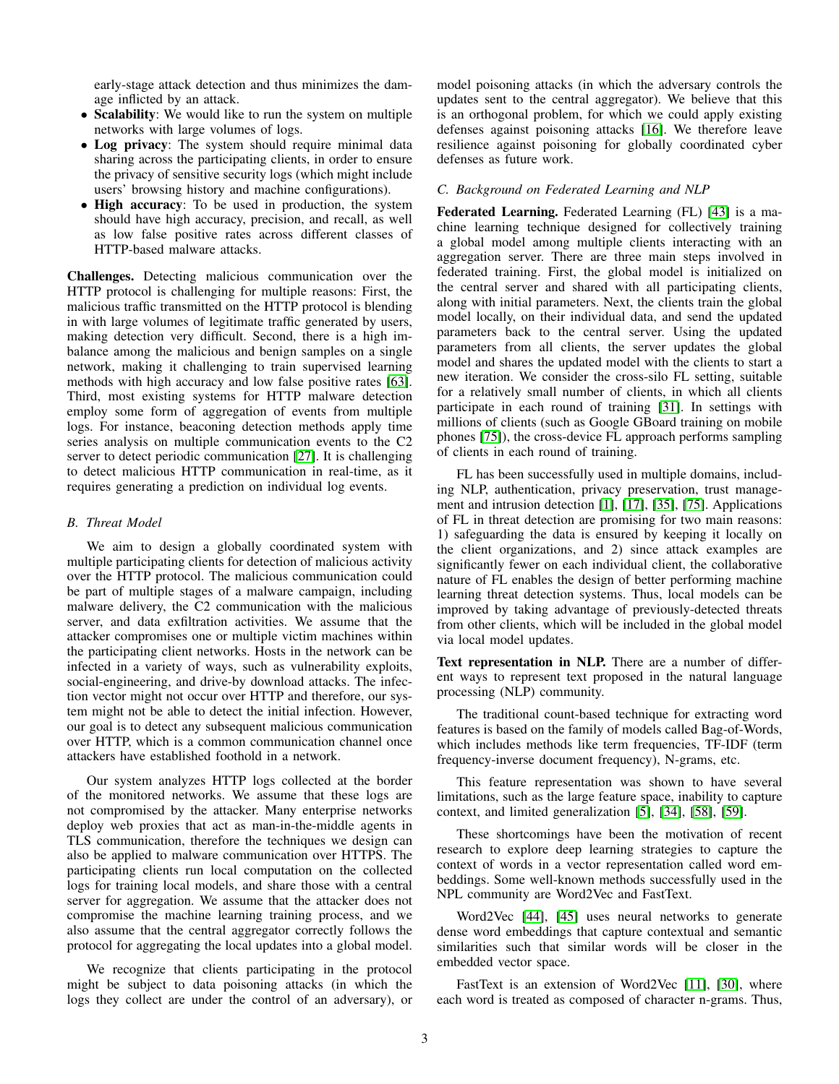early-stage attack detection and thus minimizes the damage inflicted by an attack.

- Scalability: We would like to run the system on multiple networks with large volumes of logs.
- Log privacy: The system should require minimal data sharing across the participating clients, in order to ensure the privacy of sensitive security logs (which might include users' browsing history and machine configurations).
- High accuracy: To be used in production, the system should have high accuracy, precision, and recall, as well as low false positive rates across different classes of HTTP-based malware attacks.

Challenges. Detecting malicious communication over the HTTP protocol is challenging for multiple reasons: First, the malicious traffic transmitted on the HTTP protocol is blending in with large volumes of legitimate traffic generated by users, making detection very difficult. Second, there is a high imbalance among the malicious and benign samples on a single network, making it challenging to train supervised learning methods with high accuracy and low false positive rates [\[63\]](#page-14-10). Third, most existing systems for HTTP malware detection employ some form of aggregation of events from multiple logs. For instance, beaconing detection methods apply time series analysis on multiple communication events to the C2 server to detect periodic communication [\[27\]](#page-13-6). It is challenging to detect malicious HTTP communication in real-time, as it requires generating a prediction on individual log events.

# *B. Threat Model*

We aim to design a globally coordinated system with multiple participating clients for detection of malicious activity over the HTTP protocol. The malicious communication could be part of multiple stages of a malware campaign, including malware delivery, the C2 communication with the malicious server, and data exfiltration activities. We assume that the attacker compromises one or multiple victim machines within the participating client networks. Hosts in the network can be infected in a variety of ways, such as vulnerability exploits, social-engineering, and drive-by download attacks. The infection vector might not occur over HTTP and therefore, our system might not be able to detect the initial infection. However, our goal is to detect any subsequent malicious communication over HTTP, which is a common communication channel once attackers have established foothold in a network.

Our system analyzes HTTP logs collected at the border of the monitored networks. We assume that these logs are not compromised by the attacker. Many enterprise networks deploy web proxies that act as man-in-the-middle agents in TLS communication, therefore the techniques we design can also be applied to malware communication over HTTPS. The participating clients run local computation on the collected logs for training local models, and share those with a central server for aggregation. We assume that the attacker does not compromise the machine learning training process, and we also assume that the central aggregator correctly follows the protocol for aggregating the local updates into a global model.

We recognize that clients participating in the protocol might be subject to data poisoning attacks (in which the logs they collect are under the control of an adversary), or model poisoning attacks (in which the adversary controls the updates sent to the central aggregator). We believe that this is an orthogonal problem, for which we could apply existing defenses against poisoning attacks [\[16\]](#page-13-12). We therefore leave resilience against poisoning for globally coordinated cyber defenses as future work.

# *C. Background on Federated Learning and NLP*

Federated Learning. Federated Learning (FL) [\[43\]](#page-14-11) is a machine learning technique designed for collectively training a global model among multiple clients interacting with an aggregation server. There are three main steps involved in federated training. First, the global model is initialized on the central server and shared with all participating clients, along with initial parameters. Next, the clients train the global model locally, on their individual data, and send the updated parameters back to the central server. Using the updated parameters from all clients, the server updates the global model and shares the updated model with the clients to start a new iteration. We consider the cross-silo FL setting, suitable for a relatively small number of clients, in which all clients participate in each round of training [\[31\]](#page-14-12). In settings with millions of clients (such as Google GBoard training on mobile phones [\[75\]](#page-15-4)), the cross-device FL approach performs sampling of clients in each round of training.

FL has been successfully used in multiple domains, including NLP, authentication, privacy preservation, trust management and intrusion detection [\[1\]](#page-13-13), [\[17\]](#page-13-14), [\[35\]](#page-14-13), [\[75\]](#page-15-4). Applications of FL in threat detection are promising for two main reasons: 1) safeguarding the data is ensured by keeping it locally on the client organizations, and 2) since attack examples are significantly fewer on each individual client, the collaborative nature of FL enables the design of better performing machine learning threat detection systems. Thus, local models can be improved by taking advantage of previously-detected threats from other clients, which will be included in the global model via local model updates.

Text representation in NLP. There are a number of different ways to represent text proposed in the natural language processing (NLP) community.

The traditional count-based technique for extracting word features is based on the family of models called Bag-of-Words, which includes methods like term frequencies, TF-IDF (term frequency-inverse document frequency), N-grams, etc.

This feature representation was shown to have several limitations, such as the large feature space, inability to capture context, and limited generalization [\[5\]](#page-13-15), [\[34\]](#page-14-14), [\[58\]](#page-14-15), [\[59\]](#page-14-16).

These shortcomings have been the motivation of recent research to explore deep learning strategies to capture the context of words in a vector representation called word embeddings. Some well-known methods successfully used in the NPL community are Word2Vec and FastText.

Word2Vec [\[44\]](#page-14-17), [\[45\]](#page-14-18) uses neural networks to generate dense word embeddings that capture contextual and semantic similarities such that similar words will be closer in the embedded vector space.

FastText is an extension of Word2Vec [\[11\]](#page-13-16), [\[30\]](#page-13-17), where each word is treated as composed of character n-grams. Thus,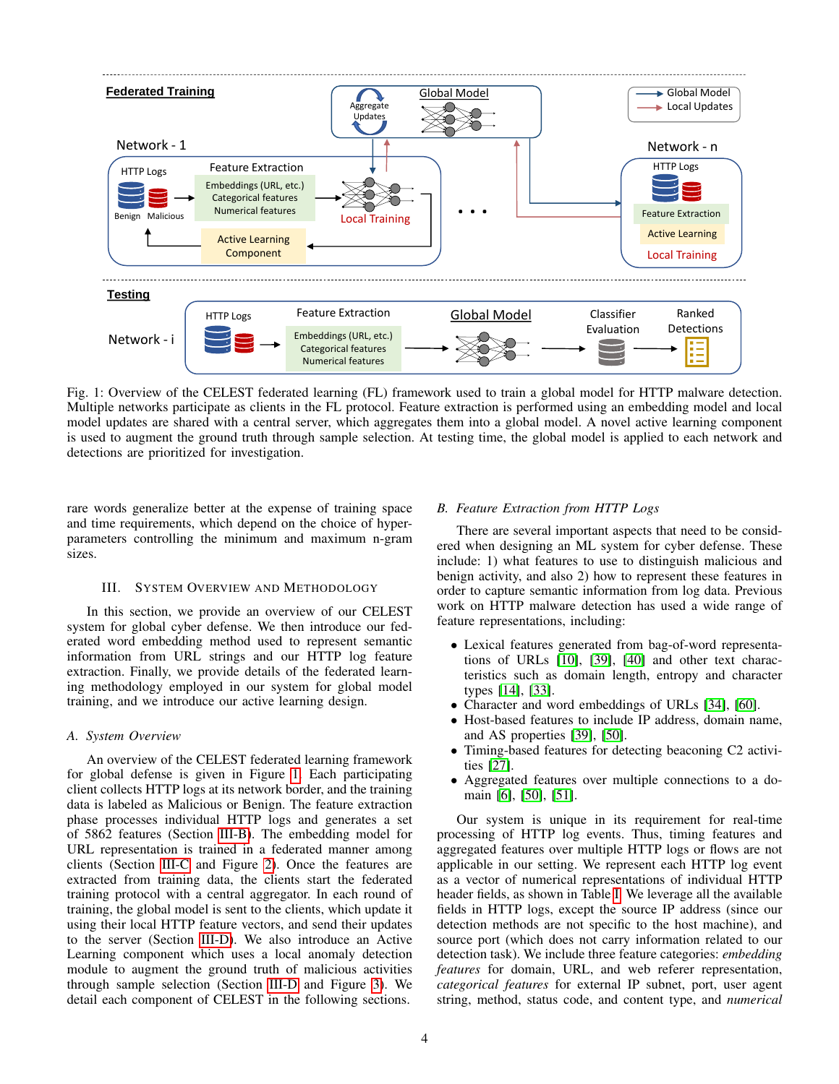<span id="page-3-0"></span>

Fig. 1: Overview of the CELEST federated learning (FL) framework used to train a global model for HTTP malware detection. Multiple networks participate as clients in the FL protocol. Feature extraction is performed using an embedding model and local model updates are shared with a central server, which aggregates them into a global model. A novel active learning component is used to augment the ground truth through sample selection. At testing time, the global model is applied to each network and detections are prioritized for investigation.

rare words generalize better at the expense of training space and time requirements, which depend on the choice of hyperparameters controlling the minimum and maximum n-gram sizes.

#### III. SYSTEM OVERVIEW AND METHODOLOGY

In this section, we provide an overview of our CELEST system for global cyber defense. We then introduce our federated word embedding method used to represent semantic information from URL strings and our HTTP log feature extraction. Finally, we provide details of the federated learning methodology employed in our system for global model training, and we introduce our active learning design.

# *A. System Overview*

An overview of the CELEST federated learning framework for global defense is given in Figure [1.](#page-3-0) Each participating client collects HTTP logs at its network border, and the training data is labeled as Malicious or Benign. The feature extraction phase processes individual HTTP logs and generates a set of 5862 features (Section [III-B\)](#page-3-1). The embedding model for URL representation is trained in a federated manner among clients (Section [III-C](#page-4-0) and Figure [2\)](#page-5-0). Once the features are extracted from training data, the clients start the federated training protocol with a central aggregator. In each round of training, the global model is sent to the clients, which update it using their local HTTP feature vectors, and send their updates to the server (Section [III-D\)](#page-5-1). We also introduce an Active Learning component which uses a local anomaly detection module to augment the ground truth of malicious activities through sample selection (Section [III-D](#page-5-1) and Figure [3\)](#page-6-0). We detail each component of CELEST in the following sections.

#### <span id="page-3-1"></span>*B. Feature Extraction from HTTP Logs*

There are several important aspects that need to be considered when designing an ML system for cyber defense. These include: 1) what features to use to distinguish malicious and benign activity, and also 2) how to represent these features in order to capture semantic information from log data. Previous work on HTTP malware detection has used a wide range of feature representations, including:

- Lexical features generated from bag-of-word representations of URLs [\[10\]](#page-13-18), [\[39\]](#page-14-1), [\[40\]](#page-14-2) and other text characteristics such as domain length, entropy and character types [\[14\]](#page-13-19), [\[33\]](#page-14-19).
- Character and word embeddings of URLs [\[34\]](#page-14-14), [\[60\]](#page-14-20).
- Host-based features to include IP address, domain name, and AS properties [\[39\]](#page-14-1), [\[50\]](#page-14-4).
- Timing-based features for detecting beaconing C2 activities [\[27\]](#page-13-6).
- Aggregated features over multiple connections to a domain [\[6\]](#page-13-4), [\[50\]](#page-14-4), [\[51\]](#page-14-5).

Our system is unique in its requirement for real-time processing of HTTP log events. Thus, timing features and aggregated features over multiple HTTP logs or flows are not applicable in our setting. We represent each HTTP log event as a vector of numerical representations of individual HTTP header fields, as shown in Table [I.](#page-4-1) We leverage all the available fields in HTTP logs, except the source IP address (since our detection methods are not specific to the host machine), and source port (which does not carry information related to our detection task). We include three feature categories: *embedding features* for domain, URL, and web referer representation, *categorical features* for external IP subnet, port, user agent string, method, status code, and content type, and *numerical*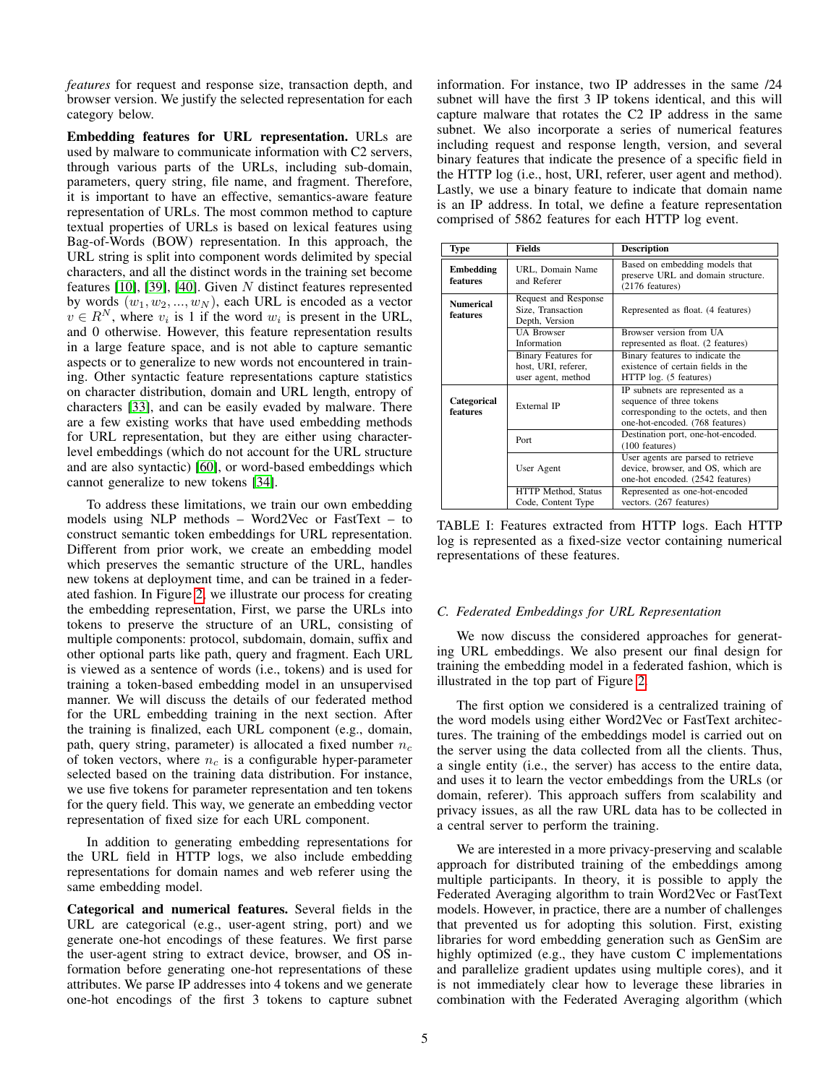*features* for request and response size, transaction depth, and browser version. We justify the selected representation for each category below.

Embedding features for URL representation. URLs are used by malware to communicate information with C2 servers, through various parts of the URLs, including sub-domain, parameters, query string, file name, and fragment. Therefore, it is important to have an effective, semantics-aware feature representation of URLs. The most common method to capture textual properties of URLs is based on lexical features using Bag-of-Words (BOW) representation. In this approach, the URL string is split into component words delimited by special characters, and all the distinct words in the training set become features [\[10\]](#page-13-18), [\[39\]](#page-14-1), [\[40\]](#page-14-2). Given N distinct features represented by words  $(w_1, w_2, ..., w_N)$ , each URL is encoded as a vector  $v \in R^N$ , where  $v_i$  is 1 if the word  $w_i$  is present in the URL, and 0 otherwise. However, this feature representation results in a large feature space, and is not able to capture semantic aspects or to generalize to new words not encountered in training. Other syntactic feature representations capture statistics on character distribution, domain and URL length, entropy of characters [\[33\]](#page-14-19), and can be easily evaded by malware. There are a few existing works that have used embedding methods for URL representation, but they are either using characterlevel embeddings (which do not account for the URL structure and are also syntactic) [\[60\]](#page-14-20), or word-based embeddings which cannot generalize to new tokens [\[34\]](#page-14-14).

To address these limitations, we train our own embedding models using NLP methods – Word2Vec or FastText – to construct semantic token embeddings for URL representation. Different from prior work, we create an embedding model which preserves the semantic structure of the URL, handles new tokens at deployment time, and can be trained in a federated fashion. In Figure [2,](#page-5-0) we illustrate our process for creating the embedding representation, First, we parse the URLs into tokens to preserve the structure of an URL, consisting of multiple components: protocol, subdomain, domain, suffix and other optional parts like path, query and fragment. Each URL is viewed as a sentence of words (i.e., tokens) and is used for training a token-based embedding model in an unsupervised manner. We will discuss the details of our federated method for the URL embedding training in the next section. After the training is finalized, each URL component (e.g., domain, path, query string, parameter) is allocated a fixed number  $n_c$ of token vectors, where  $n_c$  is a configurable hyper-parameter selected based on the training data distribution. For instance, we use five tokens for parameter representation and ten tokens for the query field. This way, we generate an embedding vector representation of fixed size for each URL component.

In addition to generating embedding representations for the URL field in HTTP logs, we also include embedding representations for domain names and web referer using the same embedding model.

Categorical and numerical features. Several fields in the URL are categorical (e.g., user-agent string, port) and we generate one-hot encodings of these features. We first parse the user-agent string to extract device, browser, and OS information before generating one-hot representations of these attributes. We parse IP addresses into 4 tokens and we generate one-hot encodings of the first 3 tokens to capture subnet information. For instance, two IP addresses in the same /24 subnet will have the first 3 IP tokens identical, and this will capture malware that rotates the C2 IP address in the same subnet. We also incorporate a series of numerical features including request and response length, version, and several binary features that indicate the presence of a specific field in the HTTP log (i.e., host, URI, referer, user agent and method). Lastly, we use a binary feature to indicate that domain name is an IP address. In total, we define a feature representation comprised of 5862 features for each HTTP log event.

<span id="page-4-1"></span>

| <b>Type</b>                  | Fields                                                                  | <b>Description</b>                                                                                                                      |  |  |  |  |
|------------------------------|-------------------------------------------------------------------------|-----------------------------------------------------------------------------------------------------------------------------------------|--|--|--|--|
| <b>Embedding</b><br>features | URL, Domain Name<br>and Referer                                         | Based on embedding models that<br>preserve URL and domain structure.<br>$(2176$ features)                                               |  |  |  |  |
| <b>Numerical</b><br>features | Request and Response<br>Size, Transaction<br>Depth, Version             | Represented as float. (4 features)                                                                                                      |  |  |  |  |
|                              | <b>UA Browser</b><br>Information                                        | Browser version from UA<br>represented as float. (2 features)                                                                           |  |  |  |  |
|                              | <b>Binary Features for</b><br>host, URI, referer,<br>user agent, method | Binary features to indicate the<br>existence of certain fields in the<br>HTTP log. (5 features)                                         |  |  |  |  |
| Categorical<br>features      | External IP                                                             | IP subnets are represented as a<br>sequence of three tokens<br>corresponding to the octets, and then<br>one-hot-encoded. (768 features) |  |  |  |  |
|                              | Port                                                                    | Destination port, one-hot-encoded.<br>(100 features)                                                                                    |  |  |  |  |
|                              | User Agent                                                              | User agents are parsed to retrieve<br>device, browser, and OS, which are<br>one-hot encoded. (2542 features)                            |  |  |  |  |
|                              | HTTP Method, Status<br>Code, Content Type                               | Represented as one-hot-encoded<br>vectors. (267 features)                                                                               |  |  |  |  |

TABLE I: Features extracted from HTTP logs. Each HTTP log is represented as a fixed-size vector containing numerical representations of these features.

## <span id="page-4-0"></span>*C. Federated Embeddings for URL Representation*

We now discuss the considered approaches for generating URL embeddings. We also present our final design for training the embedding model in a federated fashion, which is illustrated in the top part of Figure [2.](#page-5-0)

The first option we considered is a centralized training of the word models using either Word2Vec or FastText architectures. The training of the embeddings model is carried out on the server using the data collected from all the clients. Thus, a single entity (i.e., the server) has access to the entire data, and uses it to learn the vector embeddings from the URLs (or domain, referer). This approach suffers from scalability and privacy issues, as all the raw URL data has to be collected in a central server to perform the training.

We are interested in a more privacy-preserving and scalable approach for distributed training of the embeddings among multiple participants. In theory, it is possible to apply the Federated Averaging algorithm to train Word2Vec or FastText models. However, in practice, there are a number of challenges that prevented us for adopting this solution. First, existing libraries for word embedding generation such as GenSim are highly optimized (e.g., they have custom C implementations and parallelize gradient updates using multiple cores), and it is not immediately clear how to leverage these libraries in combination with the Federated Averaging algorithm (which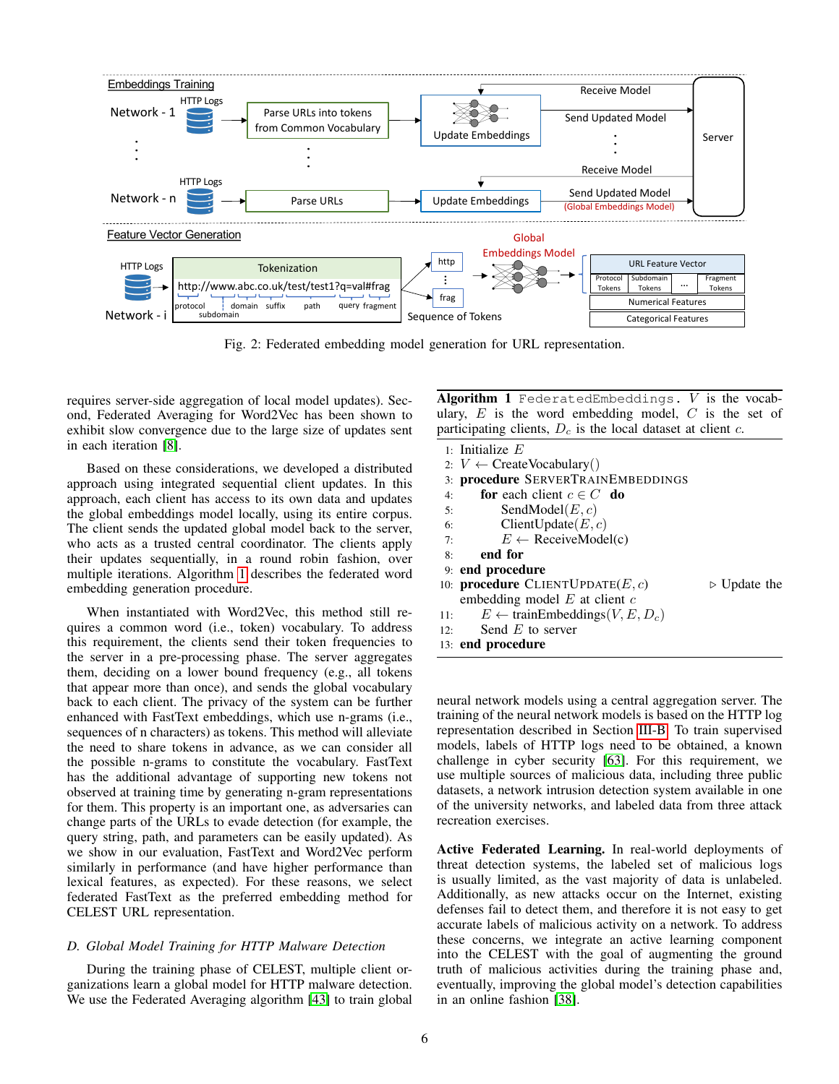<span id="page-5-0"></span>

Fig. 2: Federated embedding model generation for URL representation.

requires server-side aggregation of local model updates). Second, Federated Averaging for Word2Vec has been shown to exhibit slow convergence due to the large size of updates sent in each iteration [\[8\]](#page-13-20).

Based on these considerations, we developed a distributed approach using integrated sequential client updates. In this approach, each client has access to its own data and updates the global embeddings model locally, using its entire corpus. The client sends the updated global model back to the server, who acts as a trusted central coordinator. The clients apply their updates sequentially, in a round robin fashion, over multiple iterations. Algorithm [1](#page-5-2) describes the federated word embedding generation procedure.

When instantiated with Word2Vec, this method still requires a common word (i.e., token) vocabulary. To address this requirement, the clients send their token frequencies to the server in a pre-processing phase. The server aggregates them, deciding on a lower bound frequency (e.g., all tokens that appear more than once), and sends the global vocabulary back to each client. The privacy of the system can be further enhanced with FastText embeddings, which use n-grams (i.e., sequences of n characters) as tokens. This method will alleviate the need to share tokens in advance, as we can consider all the possible n-grams to constitute the vocabulary. FastText has the additional advantage of supporting new tokens not observed at training time by generating n-gram representations for them. This property is an important one, as adversaries can change parts of the URLs to evade detection (for example, the query string, path, and parameters can be easily updated). As we show in our evaluation, FastText and Word2Vec perform similarly in performance (and have higher performance than lexical features, as expected). For these reasons, we select federated FastText as the preferred embedding method for CELEST URL representation.

# <span id="page-5-1"></span>*D. Global Model Training for HTTP Malware Detection*

During the training phase of CELEST, multiple client organizations learn a global model for HTTP malware detection. We use the Federated Averaging algorithm [\[43\]](#page-14-11) to train global <span id="page-5-2"></span>Algorithm 1 FederatedEmbeddings.  $V$  is the vocabulary,  $E$  is the word embedding model,  $C$  is the set of participating clients,  $D_c$  is the local dataset at client  $c$ .

1: Initialize E 2:  $V \leftarrow \text{CreateVocabulary}()$ 3: procedure SERVERTRAINEMBEDDINGS 4: for each client  $c \in C$  do 5: SendModel $(E, c)$ 6: ClientUpdate $(E, c)$ 7:  $E \leftarrow \text{ReceiveModel}(c)$ 8: end for 9: end procedure 10: **procedure** CLIENTUPDATE( $E, c$ )  $\triangleright$  Update the embedding model  $E$  at client  $c$ 11:  $E \leftarrow \text{trainEmbeddings}(V, E, D_c)$ 12: Send  $E$  to server 13: end procedure

neural network models using a central aggregation server. The training of the neural network models is based on the HTTP log representation described in Section [III-B.](#page-3-1) To train supervised models, labels of HTTP logs need to be obtained, a known challenge in cyber security [\[63\]](#page-14-10). For this requirement, we use multiple sources of malicious data, including three public datasets, a network intrusion detection system available in one of the university networks, and labeled data from three attack recreation exercises.

Active Federated Learning. In real-world deployments of threat detection systems, the labeled set of malicious logs is usually limited, as the vast majority of data is unlabeled. Additionally, as new attacks occur on the Internet, existing defenses fail to detect them, and therefore it is not easy to get accurate labels of malicious activity on a network. To address these concerns, we integrate an active learning component into the CELEST with the goal of augmenting the ground truth of malicious activities during the training phase and, eventually, improving the global model's detection capabilities in an online fashion [\[38\]](#page-14-21).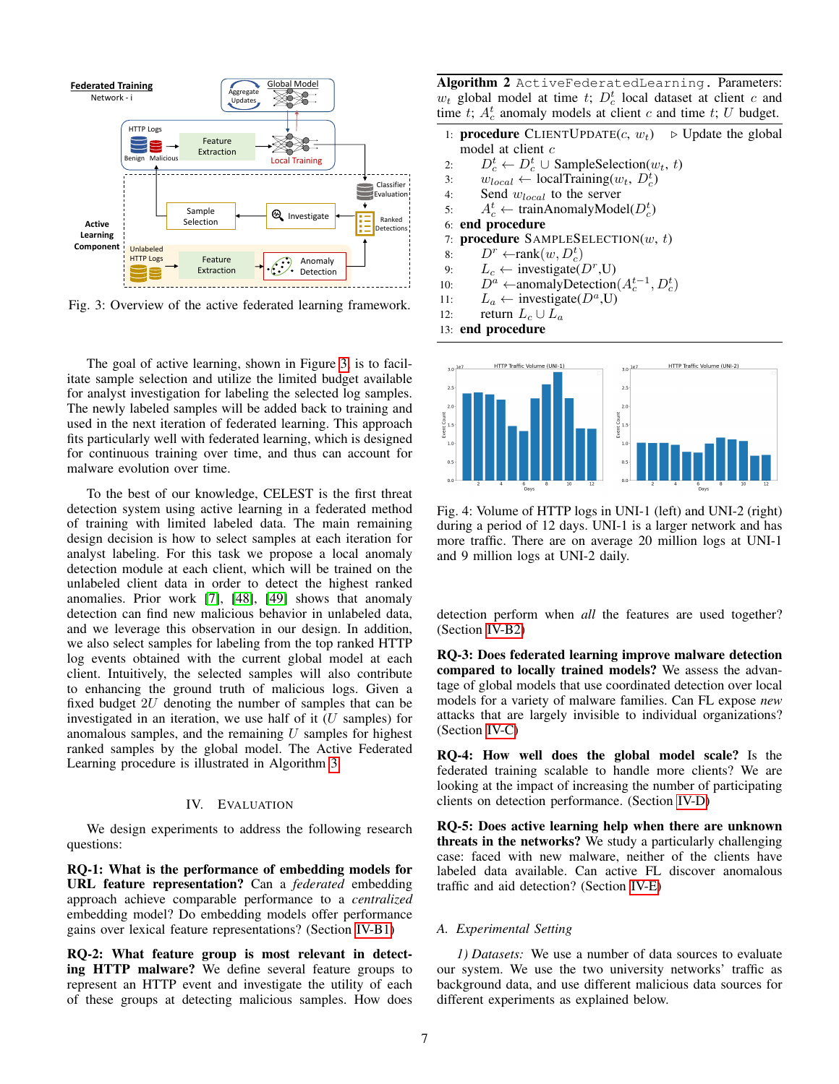<span id="page-6-0"></span>

Fig. 3: Overview of the active federated learning framework.

The goal of active learning, shown in Figure [3,](#page-6-0) is to facilitate sample selection and utilize the limited budget available for analyst investigation for labeling the selected log samples. The newly labeled samples will be added back to training and used in the next iteration of federated learning. This approach fits particularly well with federated learning, which is designed for continuous training over time, and thus can account for malware evolution over time.

To the best of our knowledge, CELEST is the first threat detection system using active learning in a federated method of training with limited labeled data. The main remaining design decision is how to select samples at each iteration for analyst labeling. For this task we propose a local anomaly detection module at each client, which will be trained on the unlabeled client data in order to detect the highest ranked anomalies. Prior work [\[7\]](#page-13-21), [\[48\]](#page-14-22), [\[49\]](#page-14-23) shows that anomaly detection can find new malicious behavior in unlabeled data, and we leverage this observation in our design. In addition, we also select samples for labeling from the top ranked HTTP log events obtained with the current global model at each client. Intuitively, the selected samples will also contribute to enhancing the ground truth of malicious logs. Given a fixed budget 2U denoting the number of samples that can be investigated in an iteration, we use half of it  $(U \text{ samples})$  for anomalous samples, and the remaining  $U$  samples for highest ranked samples by the global model. The Active Federated Learning procedure is illustrated in Algorithm [3.](#page-6-0)

## IV. EVALUATION

We design experiments to address the following research questions:

RQ-1: What is the performance of embedding models for URL feature representation? Can a *federated* embedding approach achieve comparable performance to a *centralized* embedding model? Do embedding models offer performance gains over lexical feature representations? (Section [IV-B1\)](#page-7-0)

RQ-2: What feature group is most relevant in detecting HTTP malware? We define several feature groups to represent an HTTP event and investigate the utility of each of these groups at detecting malicious samples. How does Algorithm 2 ActiveFederatedLearning. Parameters:  $w_t$  global model at time t;  $D_c^t$  local dataset at client c and time t;  $A_c^t$  anomaly models at client c and time t; U budget.

- 1: **procedure** CLIENTUPDATE $(c, w_t)$   $\triangleright$  Update the global model at client c
- 2:  $D_c^t \leftarrow D_c^t \cup \text{SampleSelection}(w_t, t)$
- 3:  $w_{local} \leftarrow localTraining(w_t, D_c^t)$
- 4: Send  $w_{local}$  to the server
- 5:  $A_c^t \leftarrow \text{trainAnomalyModel}(D_c^t)$
- 6: end procedure
- 7: procedure  $SAMPLESELECTION(w, t)$
- 8:  $D^r$  ←rank $(w, D_c^t)$
- 9:  $L_c \leftarrow \text{investigate}(D^r, U)$
- 10:  $D^a$  ← anomalyDetection( $A_c^{t-1}, D_c^t$ )
- 11:  $L_a \leftarrow \text{investigate}(D^a, U)$
- 12: return  $L_c \cup L_a$
- 13: end procedure

<span id="page-6-1"></span>

Fig. 4: Volume of HTTP logs in UNI-1 (left) and UNI-2 (right) during a period of 12 days. UNI-1 is a larger network and has more traffic. There are on average 20 million logs at UNI-1 and 9 million logs at UNI-2 daily.

detection perform when *all* the features are used together? (Section [IV-B2\)](#page-8-0)

RQ-3: Does federated learning improve malware detection compared to locally trained models? We assess the advantage of global models that use coordinated detection over local models for a variety of malware families. Can FL expose *new* attacks that are largely invisible to individual organizations? (Section [IV-C\)](#page-8-1)

RQ-4: How well does the global model scale? Is the federated training scalable to handle more clients? We are looking at the impact of increasing the number of participating clients on detection performance. (Section [IV-D\)](#page-9-0)

RQ-5: Does active learning help when there are unknown threats in the networks? We study a particularly challenging case: faced with new malware, neither of the clients have labeled data available. Can active FL discover anomalous traffic and aid detection? (Section [IV-E\)](#page-9-1)

#### *A. Experimental Setting*

*1) Datasets:* We use a number of data sources to evaluate our system. We use the two university networks' traffic as background data, and use different malicious data sources for different experiments as explained below.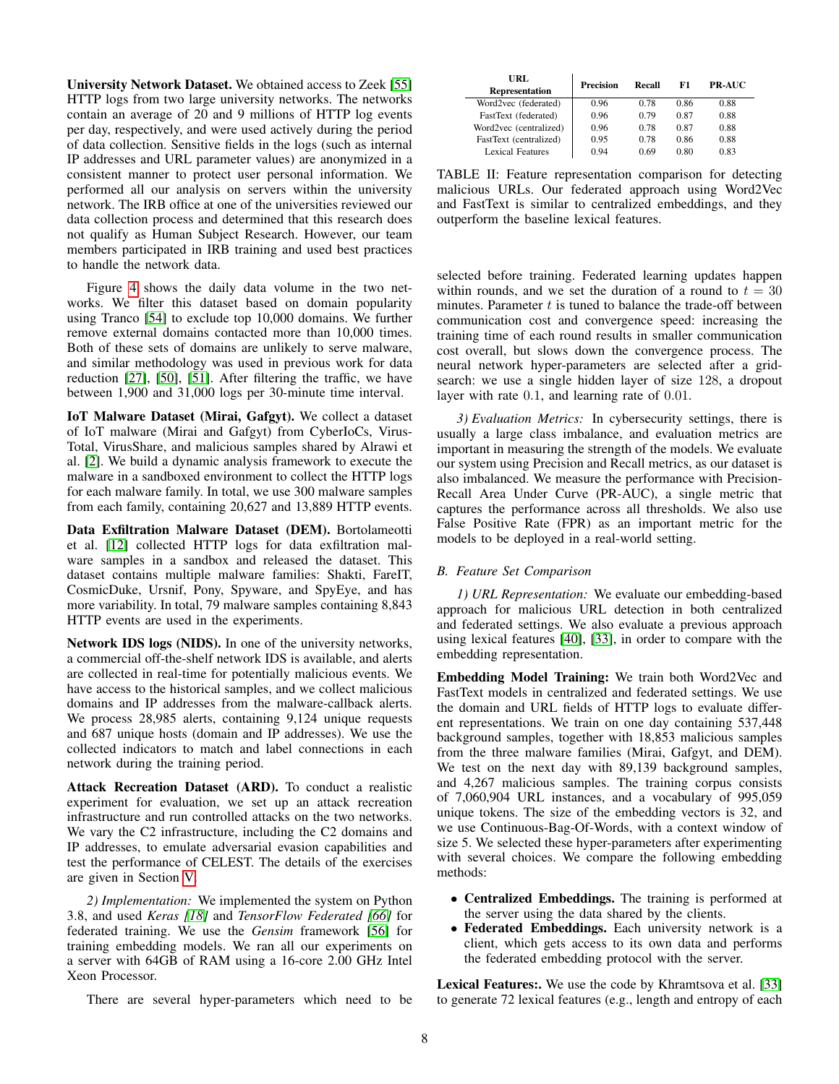University Network Dataset. We obtained access to Zeek [\[55\]](#page-14-24) HTTP logs from two large university networks. The networks contain an average of 20 and 9 millions of HTTP log events per day, respectively, and were used actively during the period of data collection. Sensitive fields in the logs (such as internal IP addresses and URL parameter values) are anonymized in a consistent manner to protect user personal information. We performed all our analysis on servers within the university network. The IRB office at one of the universities reviewed our data collection process and determined that this research does not qualify as Human Subject Research. However, our team members participated in IRB training and used best practices to handle the network data.

Figure [4](#page-6-1) shows the daily data volume in the two networks. We filter this dataset based on domain popularity using Tranco [\[54\]](#page-14-25) to exclude top 10,000 domains. We further remove external domains contacted more than 10,000 times. Both of these sets of domains are unlikely to serve malware, and similar methodology was used in previous work for data reduction [\[27\]](#page-13-6), [\[50\]](#page-14-4), [\[51\]](#page-14-5). After filtering the traffic, we have between 1,900 and 31,000 logs per 30-minute time interval.

IoT Malware Dataset (Mirai, Gafgyt). We collect a dataset of IoT malware (Mirai and Gafgyt) from CyberIoCs, Virus-Total, VirusShare, and malicious samples shared by Alrawi et al. [\[2\]](#page-13-22). We build a dynamic analysis framework to execute the malware in a sandboxed environment to collect the HTTP logs for each malware family. In total, we use 300 malware samples from each family, containing 20,627 and 13,889 HTTP events.

Data Exfiltration Malware Dataset (DEM). Bortolameotti et al. [\[12\]](#page-13-5) collected HTTP logs for data exfiltration malware samples in a sandbox and released the dataset. This dataset contains multiple malware families: Shakti, FareIT, CosmicDuke, Ursnif, Pony, Spyware, and SpyEye, and has more variability. In total, 79 malware samples containing 8,843 HTTP events are used in the experiments.

Network IDS logs (NIDS). In one of the university networks, a commercial off-the-shelf network IDS is available, and alerts are collected in real-time for potentially malicious events. We have access to the historical samples, and we collect malicious domains and IP addresses from the malware-callback alerts. We process 28,985 alerts, containing 9,124 unique requests and 687 unique hosts (domain and IP addresses). We use the collected indicators to match and label connections in each network during the training period.

Attack Recreation Dataset (ARD). To conduct a realistic experiment for evaluation, we set up an attack recreation infrastructure and run controlled attacks on the two networks. We vary the C2 infrastructure, including the C2 domains and IP addresses, to emulate adversarial evasion capabilities and test the performance of CELEST. The details of the exercises are given in Section [V.](#page-10-0)

*2) Implementation:* We implemented the system on Python 3.8, and used *Keras [\[18\]](#page-13-23)* and *TensorFlow Federated [\[66\]](#page-14-26)* for federated training. We use the *Gensim* framework [\[56\]](#page-14-27) for training embedding models. We ran all our experiments on a server with 64GB of RAM using a 16-core 2.00 GHz Intel Xeon Processor.

There are several hyper-parameters which need to be

<span id="page-7-1"></span>

| URL<br><b>Representation</b> | Precision | Recall | F1   | <b>PR-AUC</b> |
|------------------------------|-----------|--------|------|---------------|
| Word2vec (federated)         | 0.96      | 0.78   | 0.86 | 0.88          |
| FastText (federated)         | 0.96      | 0.79   | 0.87 | 0.88          |
| Word2vec (centralized)       | 0.96      | 0.78   | 0.87 | 0.88          |
| FastText (centralized)       | 0.95      | 0.78   | 0.86 | 0.88          |
| Lexical Features             | 0.94      | 0.69   | 0.80 | 0.83          |

TABLE II: Feature representation comparison for detecting malicious URLs. Our federated approach using Word2Vec and FastText is similar to centralized embeddings, and they outperform the baseline lexical features.

selected before training. Federated learning updates happen within rounds, and we set the duration of a round to  $t = 30$ minutes. Parameter  $t$  is tuned to balance the trade-off between communication cost and convergence speed: increasing the training time of each round results in smaller communication cost overall, but slows down the convergence process. The neural network hyper-parameters are selected after a gridsearch: we use a single hidden layer of size 128, a dropout layer with rate 0.1, and learning rate of 0.01.

*3) Evaluation Metrics:* In cybersecurity settings, there is usually a large class imbalance, and evaluation metrics are important in measuring the strength of the models. We evaluate our system using Precision and Recall metrics, as our dataset is also imbalanced. We measure the performance with Precision-Recall Area Under Curve (PR-AUC), a single metric that captures the performance across all thresholds. We also use False Positive Rate (FPR) as an important metric for the models to be deployed in a real-world setting.

# *B. Feature Set Comparison*

<span id="page-7-0"></span>*1) URL Representation:* We evaluate our embedding-based approach for malicious URL detection in both centralized and federated settings. We also evaluate a previous approach using lexical features [\[40\]](#page-14-2), [\[33\]](#page-14-19), in order to compare with the embedding representation.

Embedding Model Training: We train both Word2Vec and FastText models in centralized and federated settings. We use the domain and URL fields of HTTP logs to evaluate different representations. We train on one day containing 537,448 background samples, together with 18,853 malicious samples from the three malware families (Mirai, Gafgyt, and DEM). We test on the next day with 89,139 background samples, and 4,267 malicious samples. The training corpus consists of 7,060,904 URL instances, and a vocabulary of 995,059 unique tokens. The size of the embedding vectors is 32, and we use Continuous-Bag-Of-Words, with a context window of size 5. We selected these hyper-parameters after experimenting with several choices. We compare the following embedding methods:

- Centralized Embeddings. The training is performed at the server using the data shared by the clients.
- Federated Embeddings. Each university network is a client, which gets access to its own data and performs the federated embedding protocol with the server.

Lexical Features:. We use the code by Khramtsova et al. [\[33\]](#page-14-19) to generate 72 lexical features (e.g., length and entropy of each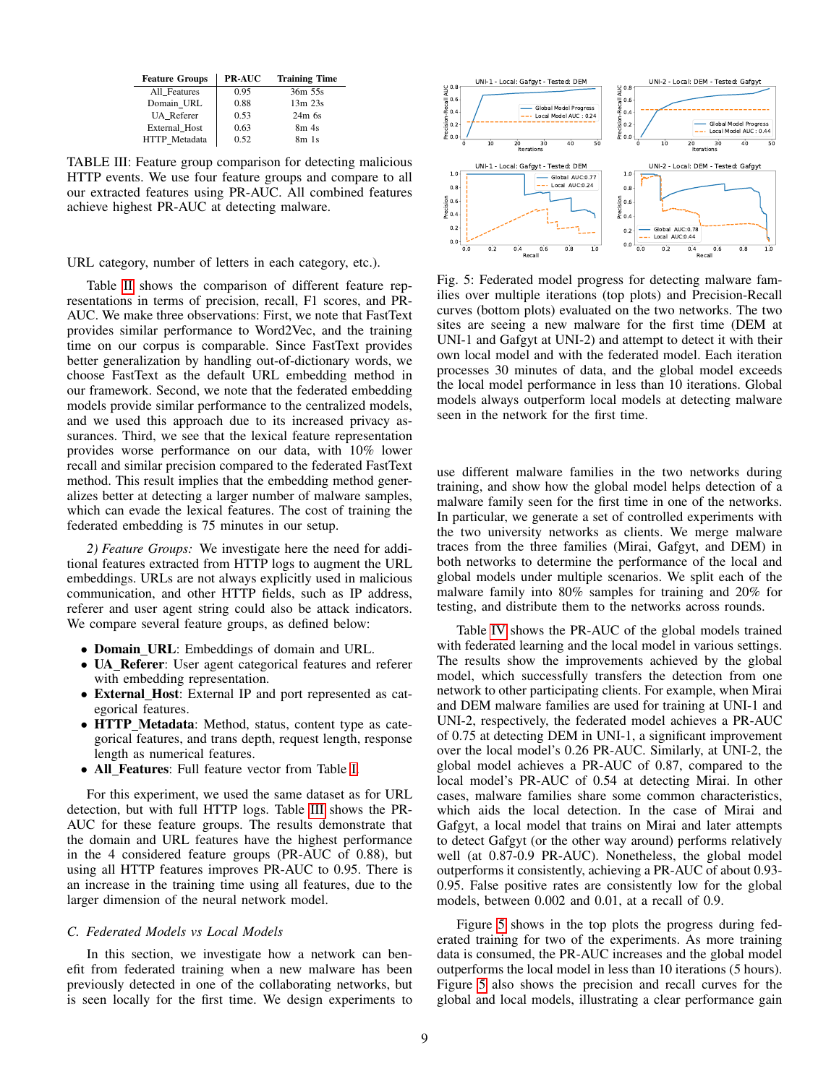<span id="page-8-2"></span>

| <b>Feature Groups</b> | <b>PR-AUC</b> | <b>Training Time</b> |
|-----------------------|---------------|----------------------|
| All Features          | 0.95          | 36m 55s              |
| Domain URL            | 0.88          | $13m$ $23s$          |
| <b>UA</b> Referer     | 0.53          | $24m$ 6s             |
| External Host         | 0.63          | 8m <sub>4s</sub>     |
| HTTP Metadata         | 0.52          | 8m <sub>1s</sub>     |

TABLE III: Feature group comparison for detecting malicious HTTP events. We use four feature groups and compare to all our extracted features using PR-AUC. All combined features achieve highest PR-AUC at detecting malware.

URL category, number of letters in each category, etc.).

Table [II](#page-7-1) shows the comparison of different feature representations in terms of precision, recall, F1 scores, and PR-AUC. We make three observations: First, we note that FastText provides similar performance to Word2Vec, and the training time on our corpus is comparable. Since FastText provides better generalization by handling out-of-dictionary words, we choose FastText as the default URL embedding method in our framework. Second, we note that the federated embedding models provide similar performance to the centralized models, and we used this approach due to its increased privacy assurances. Third, we see that the lexical feature representation provides worse performance on our data, with 10% lower recall and similar precision compared to the federated FastText method. This result implies that the embedding method generalizes better at detecting a larger number of malware samples, which can evade the lexical features. The cost of training the federated embedding is 75 minutes in our setup.

<span id="page-8-0"></span>*2) Feature Groups:* We investigate here the need for additional features extracted from HTTP logs to augment the URL embeddings. URLs are not always explicitly used in malicious communication, and other HTTP fields, such as IP address, referer and user agent string could also be attack indicators. We compare several feature groups, as defined below:

- **Domain\_URL**: Embeddings of domain and URL.
- UA Referer: User agent categorical features and referer with embedding representation.
- External Host: External IP and port represented as categorical features.
- **HTTP** Metadata: Method, status, content type as categorical features, and trans depth, request length, response length as numerical features.
- All Features: Full feature vector from Table [I.](#page-4-1)

For this experiment, we used the same dataset as for URL detection, but with full HTTP logs. Table [III](#page-8-2) shows the PR-AUC for these feature groups. The results demonstrate that the domain and URL features have the highest performance in the 4 considered feature groups (PR-AUC of 0.88), but using all HTTP features improves PR-AUC to 0.95. There is an increase in the training time using all features, due to the larger dimension of the neural network model.

#### <span id="page-8-1"></span>*C. Federated Models vs Local Models*

In this section, we investigate how a network can benefit from federated training when a new malware has been previously detected in one of the collaborating networks, but is seen locally for the first time. We design experiments to

<span id="page-8-3"></span>

Fig. 5: Federated model progress for detecting malware families over multiple iterations (top plots) and Precision-Recall curves (bottom plots) evaluated on the two networks. The two sites are seeing a new malware for the first time (DEM at UNI-1 and Gafgyt at UNI-2) and attempt to detect it with their own local model and with the federated model. Each iteration processes 30 minutes of data, and the global model exceeds the local model performance in less than 10 iterations. Global models always outperform local models at detecting malware seen in the network for the first time.

use different malware families in the two networks during training, and show how the global model helps detection of a malware family seen for the first time in one of the networks. In particular, we generate a set of controlled experiments with the two university networks as clients. We merge malware traces from the three families (Mirai, Gafgyt, and DEM) in both networks to determine the performance of the local and global models under multiple scenarios. We split each of the malware family into 80% samples for training and 20% for testing, and distribute them to the networks across rounds.

Table [IV](#page-9-2) shows the PR-AUC of the global models trained with federated learning and the local model in various settings. The results show the improvements achieved by the global model, which successfully transfers the detection from one network to other participating clients. For example, when Mirai and DEM malware families are used for training at UNI-1 and UNI-2, respectively, the federated model achieves a PR-AUC of 0.75 at detecting DEM in UNI-1, a significant improvement over the local model's 0.26 PR-AUC. Similarly, at UNI-2, the global model achieves a PR-AUC of 0.87, compared to the local model's PR-AUC of 0.54 at detecting Mirai. In other cases, malware families share some common characteristics, which aids the local detection. In the case of Mirai and Gafgyt, a local model that trains on Mirai and later attempts to detect Gafgyt (or the other way around) performs relatively well (at 0.87-0.9 PR-AUC). Nonetheless, the global model outperforms it consistently, achieving a PR-AUC of about 0.93- 0.95. False positive rates are consistently low for the global models, between 0.002 and 0.01, at a recall of 0.9.

Figure [5](#page-8-3) shows in the top plots the progress during federated training for two of the experiments. As more training data is consumed, the PR-AUC increases and the global model outperforms the local model in less than 10 iterations (5 hours). Figure [5](#page-8-3) also shows the precision and recall curves for the global and local models, illustrating a clear performance gain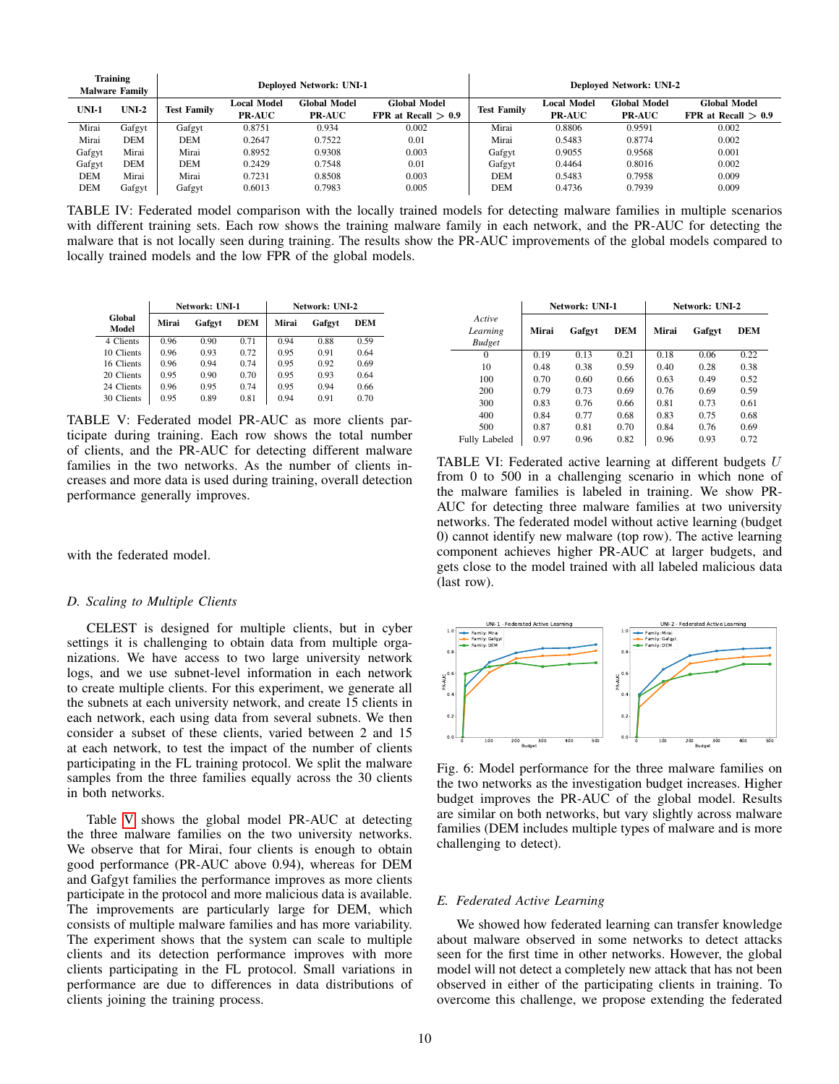<span id="page-9-2"></span>

|                    | <b>Training</b><br><b>Malware Family</b> |                    |                              | <b>Deployed Network: UNI-1</b>       |                                              | <b>Deployed Network: UNI-2</b> |                              |                                      |                                       |
|--------------------|------------------------------------------|--------------------|------------------------------|--------------------------------------|----------------------------------------------|--------------------------------|------------------------------|--------------------------------------|---------------------------------------|
| $UNI-2$<br>$UNI-1$ |                                          | <b>Test Family</b> | Local Model<br><b>PR-AUC</b> | <b>Global Model</b><br><b>PR-AUC</b> | <b>Global Model</b><br>FPR at Recall $> 0.9$ | <b>Test Family</b>             | Local Model<br><b>PR-AUC</b> | <b>Global Model</b><br><b>PR-AUC</b> | Global Model<br>FPR at Recall $> 0.9$ |
| Mirai              |                                          |                    | 0.8751                       | 0.934                                | 0.002                                        | Mirai                          | 0.8806                       | 0.9591                               | 0.002                                 |
|                    | Gafgyt                                   | Gafgyt             |                              |                                      |                                              |                                |                              |                                      |                                       |
| Mirai              | DEM                                      | <b>DEM</b>         | 0.2647                       | 0.7522                               | 0.01                                         | Mirai                          | 0.5483                       | 0.8774                               | 0.002                                 |
| Gafgyt             | Mirai                                    | Mirai              | 0.8952                       | 0.9308                               | 0.003                                        | Gafgyt                         | 0.9055                       | 0.9568                               | 0.001                                 |
| Gafgyt             | DEM                                      | <b>DEM</b>         | 0.2429                       | 0.7548                               | 0.01                                         | Gafgyt                         | 0.4464                       | 0.8016                               | 0.002                                 |
| DEM                | Mirai                                    | Mirai              | 0.7231                       | 0.8508                               | 0.003                                        | DEM                            | 0.5483                       | 0.7958                               | 0.009                                 |
| DEM                | Gafgyt                                   | Gafgyt             | 0.6013                       | 0.7983                               | 0.005                                        | DEM                            | 0.4736                       | 0.7939                               | 0.009                                 |

TABLE IV: Federated model comparison with the locally trained models for detecting malware families in multiple scenarios with different training sets. Each row shows the training malware family in each network, and the PR-AUC for detecting the malware that is not locally seen during training. The results show the PR-AUC improvements of the global models compared to locally trained models and the low FPR of the global models.

<span id="page-9-3"></span>

|                 |       | Network: UNI-1 | Network: UNI-2 |       |        |      |
|-----------------|-------|----------------|----------------|-------|--------|------|
| Global<br>Model | Mirai | Gafgyt         | DEM            | Mirai | Gafgyt | DEM  |
| 4 Clients       | 0.96  | 0.90           | 0.71           | 0.94  | 0.88   | 0.59 |
| 10 Clients      | 0.96  | 0.93           | 0.72           | 0.95  | 0.91   | 0.64 |
| 16 Clients      | 0.96  | 0.94           | 0.74           | 0.95  | 0.92   | 0.69 |
| 20 Clients      | 0.95  | 0.90           | 0.70           | 0.95  | 0.93   | 0.64 |
| 24 Clients      | 0.96  | 0.95           | 0.74           | 0.95  | 0.94   | 0.66 |
| 30 Clients      | 0.95  | 0.89           | 0.81           | 0.94  | 0.91   | 0.70 |

TABLE V: Federated model PR-AUC as more clients participate during training. Each row shows the total number of clients, and the PR-AUC for detecting different malware families in the two networks. As the number of clients increases and more data is used during training, overall detection performance generally improves.

with the federated model.

# <span id="page-9-0"></span>*D. Scaling to Multiple Clients*

CELEST is designed for multiple clients, but in cyber settings it is challenging to obtain data from multiple organizations. We have access to two large university network logs, and we use subnet-level information in each network to create multiple clients. For this experiment, we generate all the subnets at each university network, and create 15 clients in each network, each using data from several subnets. We then consider a subset of these clients, varied between 2 and 15 at each network, to test the impact of the number of clients participating in the FL training protocol. We split the malware samples from the three families equally across the 30 clients in both networks.

Table [V](#page-9-3) shows the global model PR-AUC at detecting the three malware families on the two university networks. We observe that for Mirai, four clients is enough to obtain good performance (PR-AUC above 0.94), whereas for DEM and Gafgyt families the performance improves as more clients participate in the protocol and more malicious data is available. The improvements are particularly large for DEM, which consists of multiple malware families and has more variability. The experiment shows that the system can scale to multiple clients and its detection performance improves with more clients participating in the FL protocol. Small variations in performance are due to differences in data distributions of clients joining the training process.

<span id="page-9-5"></span>

|                                     |       | Network: UNI-1 |            | Network: UNI-2 |        |            |  |
|-------------------------------------|-------|----------------|------------|----------------|--------|------------|--|
| Active<br>Learning<br><b>Budget</b> | Mirai | Gafgyt         | <b>DEM</b> | Mirai          | Gafgyt | <b>DEM</b> |  |
| 0                                   | 0.19  | 0.13           | 0.21       | 0.18           | 0.06   | 0.22       |  |
| 10                                  | 0.48  | 0.38           | 0.59       | 0.40           | 0.28   | 0.38       |  |
| 100                                 | 0.70  | 0.60           | 0.66       | 0.63           | 0.49   | 0.52       |  |
| 200                                 | 0.79  | 0.73           | 0.69       | 0.76           | 0.69   | 0.59       |  |
| 300                                 | 0.83  | 0.76           | 0.66       | 0.81           | 0.73   | 0.61       |  |
| 400                                 | 0.84  | 0.77           | 0.68       | 0.83           | 0.75   | 0.68       |  |
| 500                                 | 0.87  | 0.81           | 0.70       | 0.84           | 0.76   | 0.69       |  |
| <b>Fully Labeled</b>                | 0.97  | 0.96           | 0.82       | 0.96           | 0.93   | 0.72       |  |

TABLE VI: Federated active learning at different budgets U from 0 to 500 in a challenging scenario in which none of the malware families is labeled in training. We show PR-AUC for detecting three malware families at two university networks. The federated model without active learning (budget 0) cannot identify new malware (top row). The active learning component achieves higher PR-AUC at larger budgets, and gets close to the model trained with all labeled malicious data (last row).

<span id="page-9-4"></span>

Fig. 6: Model performance for the three malware families on the two networks as the investigation budget increases. Higher budget improves the PR-AUC of the global model. Results are similar on both networks, but vary slightly across malware families (DEM includes multiple types of malware and is more challenging to detect).

## <span id="page-9-1"></span>*E. Federated Active Learning*

We showed how federated learning can transfer knowledge about malware observed in some networks to detect attacks seen for the first time in other networks. However, the global model will not detect a completely new attack that has not been observed in either of the participating clients in training. To overcome this challenge, we propose extending the federated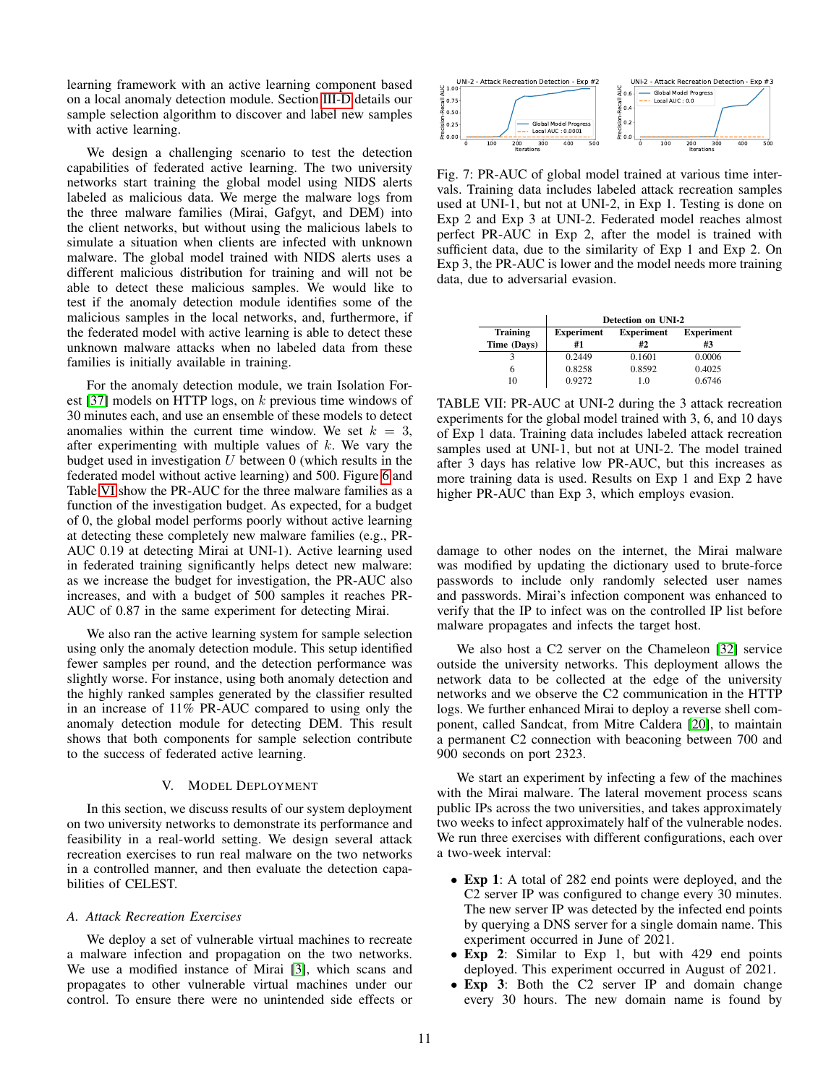learning framework with an active learning component based on a local anomaly detection module. Section [III-D](#page-5-1) details our sample selection algorithm to discover and label new samples with active learning.

We design a challenging scenario to test the detection capabilities of federated active learning. The two university networks start training the global model using NIDS alerts labeled as malicious data. We merge the malware logs from the three malware families (Mirai, Gafgyt, and DEM) into the client networks, but without using the malicious labels to simulate a situation when clients are infected with unknown malware. The global model trained with NIDS alerts uses a different malicious distribution for training and will not be able to detect these malicious samples. We would like to test if the anomaly detection module identifies some of the malicious samples in the local networks, and, furthermore, if the federated model with active learning is able to detect these unknown malware attacks when no labeled data from these families is initially available in training.

For the anomaly detection module, we train Isolation Forest [\[37\]](#page-14-28) models on HTTP logs, on k previous time windows of 30 minutes each, and use an ensemble of these models to detect anomalies within the current time window. We set  $k = 3$ , after experimenting with multiple values of  $k$ . We vary the budget used in investigation  $U$  between 0 (which results in the federated model without active learning) and 500. Figure [6](#page-9-4) and Table [VI](#page-9-5) show the PR-AUC for the three malware families as a function of the investigation budget. As expected, for a budget of 0, the global model performs poorly without active learning at detecting these completely new malware families (e.g., PR-AUC 0.19 at detecting Mirai at UNI-1). Active learning used in federated training significantly helps detect new malware: as we increase the budget for investigation, the PR-AUC also increases, and with a budget of 500 samples it reaches PR-AUC of 0.87 in the same experiment for detecting Mirai.

We also ran the active learning system for sample selection using only the anomaly detection module. This setup identified fewer samples per round, and the detection performance was slightly worse. For instance, using both anomaly detection and the highly ranked samples generated by the classifier resulted in an increase of 11% PR-AUC compared to using only the anomaly detection module for detecting DEM. This result shows that both components for sample selection contribute to the success of federated active learning.

#### V. MODEL DEPLOYMENT

<span id="page-10-0"></span>In this section, we discuss results of our system deployment on two university networks to demonstrate its performance and feasibility in a real-world setting. We design several attack recreation exercises to run real malware on the two networks in a controlled manner, and then evaluate the detection capabilities of CELEST.

#### *A. Attack Recreation Exercises*

We deploy a set of vulnerable virtual machines to recreate a malware infection and propagation on the two networks. We use a modified instance of Mirai [\[3\]](#page-13-0), which scans and propagates to other vulnerable virtual machines under our control. To ensure there were no unintended side effects or

<span id="page-10-2"></span>

Fig. 7: PR-AUC of global model trained at various time intervals. Training data includes labeled attack recreation samples used at UNI-1, but not at UNI-2, in Exp 1. Testing is done on Exp 2 and Exp 3 at UNI-2. Federated model reaches almost perfect PR-AUC in Exp 2, after the model is trained with sufficient data, due to the similarity of Exp 1 and Exp 2. On Exp 3, the PR-AUC is lower and the model needs more training data, due to adversarial evasion.

<span id="page-10-1"></span>

|                 | Detection on UNI-2 |                   |                   |  |  |  |  |  |
|-----------------|--------------------|-------------------|-------------------|--|--|--|--|--|
| <b>Training</b> | <b>Experiment</b>  | <b>Experiment</b> | <b>Experiment</b> |  |  |  |  |  |
| Time (Days)     | #1                 | #2                | #3                |  |  |  |  |  |
|                 | 0.2449             | 0.1601            | 0.0006            |  |  |  |  |  |
| 6               | 0.8258             | 0.8592            | 0.4025            |  |  |  |  |  |
| 10              | 0.9272             | 1.0               | 0.6746            |  |  |  |  |  |

TABLE VII: PR-AUC at UNI-2 during the 3 attack recreation experiments for the global model trained with 3, 6, and 10 days of Exp 1 data. Training data includes labeled attack recreation samples used at UNI-1, but not at UNI-2. The model trained after 3 days has relative low PR-AUC, but this increases as more training data is used. Results on Exp 1 and Exp 2 have higher PR-AUC than Exp 3, which employs evasion.

damage to other nodes on the internet, the Mirai malware was modified by updating the dictionary used to brute-force passwords to include only randomly selected user names and passwords. Mirai's infection component was enhanced to verify that the IP to infect was on the controlled IP list before malware propagates and infects the target host.

We also host a C2 server on the Chameleon [\[32\]](#page-14-29) service outside the university networks. This deployment allows the network data to be collected at the edge of the university networks and we observe the C2 communication in the HTTP logs. We further enhanced Mirai to deploy a reverse shell component, called Sandcat, from Mitre Caldera [\[20\]](#page-13-24), to maintain a permanent C2 connection with beaconing between 700 and 900 seconds on port 2323.

We start an experiment by infecting a few of the machines with the Mirai malware. The lateral movement process scans public IPs across the two universities, and takes approximately two weeks to infect approximately half of the vulnerable nodes. We run three exercises with different configurations, each over a two-week interval:

- Exp 1: A total of 282 end points were deployed, and the C2 server IP was configured to change every 30 minutes. The new server IP was detected by the infected end points by querying a DNS server for a single domain name. This experiment occurred in June of 2021.
- Exp 2: Similar to Exp 1, but with 429 end points deployed. This experiment occurred in August of 2021.
- Exp 3: Both the C2 server IP and domain change every 30 hours. The new domain name is found by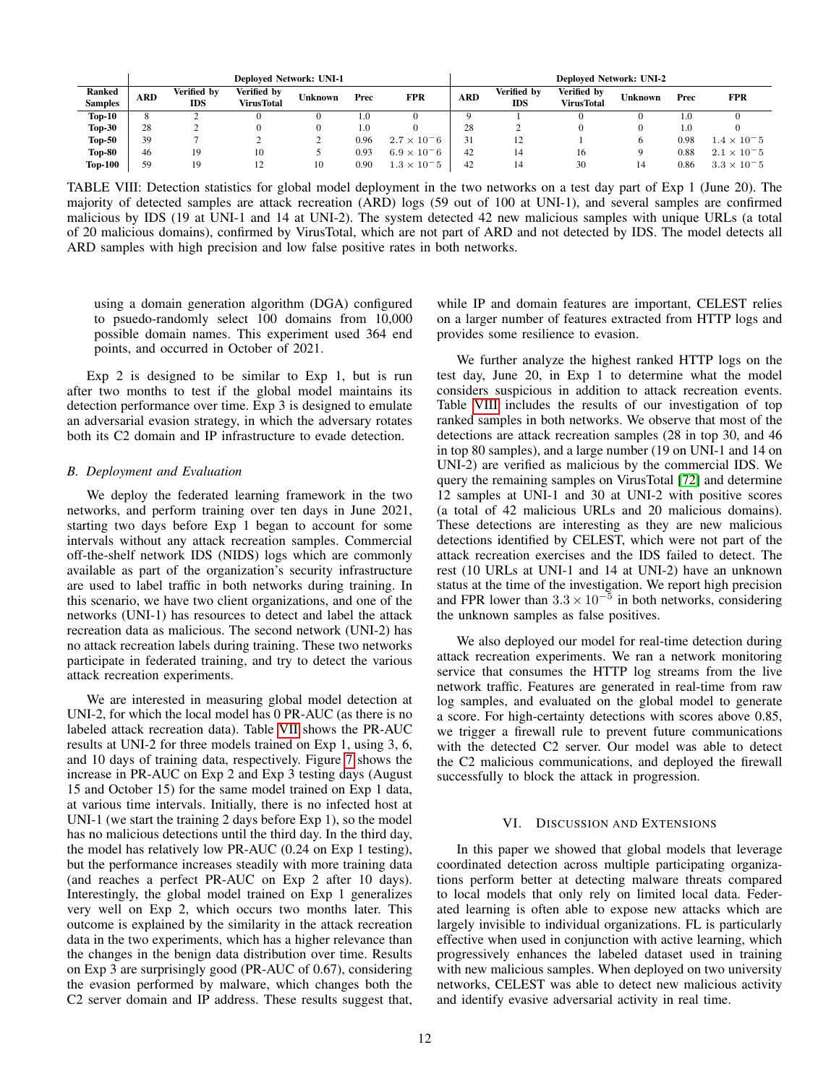<span id="page-11-0"></span>

|                                 | <b>Deployed Network: UNI-1</b> |                    |                                  |                |       |                      |            |                           | <b>Deployed Network: UNI-2</b>   |                |      |                      |
|---------------------------------|--------------------------------|--------------------|----------------------------------|----------------|-------|----------------------|------------|---------------------------|----------------------------------|----------------|------|----------------------|
| <b>Ranked</b><br><b>Samples</b> | ARD                            | Verified by<br>IDS | Verified by<br><b>VirusTotal</b> | <b>Unknown</b> | Prec  | <b>FPR</b>           | <b>ARD</b> | Verified by<br><b>IDS</b> | Verified by<br><b>VirusTotal</b> | <b>Unknown</b> | Prec | <b>FPR</b>           |
| $Top-10$                        | 8                              |                    |                                  |                | - 0.1 |                      |            |                           |                                  |                | 1.0  |                      |
| <b>Top-30</b>                   | 28                             |                    |                                  |                | 0.1   |                      | 28         |                           |                                  |                | 1.0  |                      |
| <b>Top-50</b>                   | 39                             |                    |                                  |                | 0.96  | $2.7 \times 10^{-6}$ | 31         | 12                        |                                  | n              | 0.98 | $1.4 \times 10^{-5}$ |
| <b>Top-80</b>                   | 46                             | 19                 | 10                               |                | 0.93  | $6.9 \times 10^{-6}$ | 42         | 14                        | 16                               | a              | 0.88 | $2.1 \times 10^{-5}$ |
| <b>Top-100</b>                  | 59                             | 19                 |                                  | 10             | 0.90  | $1.3 \times 10^{-5}$ | 42         | 14                        | 30                               | 14             | 0.86 | $3.3 \times 10^{-5}$ |

TABLE VIII: Detection statistics for global model deployment in the two networks on a test day part of Exp 1 (June 20). The majority of detected samples are attack recreation (ARD) logs (59 out of 100 at UNI-1), and several samples are confirmed malicious by IDS (19 at UNI-1 and 14 at UNI-2). The system detected 42 new malicious samples with unique URLs (a total of 20 malicious domains), confirmed by VirusTotal, which are not part of ARD and not detected by IDS. The model detects all ARD samples with high precision and low false positive rates in both networks.

using a domain generation algorithm (DGA) configured to psuedo-randomly select 100 domains from 10,000 possible domain names. This experiment used 364 end points, and occurred in October of 2021.

Exp 2 is designed to be similar to Exp 1, but is run after two months to test if the global model maintains its detection performance over time. Exp 3 is designed to emulate an adversarial evasion strategy, in which the adversary rotates both its C2 domain and IP infrastructure to evade detection.

# *B. Deployment and Evaluation*

We deploy the federated learning framework in the two networks, and perform training over ten days in June 2021, starting two days before Exp 1 began to account for some intervals without any attack recreation samples. Commercial off-the-shelf network IDS (NIDS) logs which are commonly available as part of the organization's security infrastructure are used to label traffic in both networks during training. In this scenario, we have two client organizations, and one of the networks (UNI-1) has resources to detect and label the attack recreation data as malicious. The second network (UNI-2) has no attack recreation labels during training. These two networks participate in federated training, and try to detect the various attack recreation experiments.

We are interested in measuring global model detection at UNI-2, for which the local model has 0 PR-AUC (as there is no labeled attack recreation data). Table [VII](#page-10-1) shows the PR-AUC results at UNI-2 for three models trained on Exp 1, using 3, 6, and 10 days of training data, respectively. Figure [7](#page-10-2) shows the increase in PR-AUC on Exp 2 and Exp 3 testing days (August 15 and October 15) for the same model trained on Exp 1 data, at various time intervals. Initially, there is no infected host at UNI-1 (we start the training 2 days before Exp 1), so the model has no malicious detections until the third day. In the third day, the model has relatively low PR-AUC (0.24 on Exp 1 testing), but the performance increases steadily with more training data (and reaches a perfect PR-AUC on Exp 2 after 10 days). Interestingly, the global model trained on Exp 1 generalizes very well on Exp 2, which occurs two months later. This outcome is explained by the similarity in the attack recreation data in the two experiments, which has a higher relevance than the changes in the benign data distribution over time. Results on Exp 3 are surprisingly good (PR-AUC of 0.67), considering the evasion performed by malware, which changes both the C2 server domain and IP address. These results suggest that,

while IP and domain features are important, CELEST relies on a larger number of features extracted from HTTP logs and provides some resilience to evasion.

We further analyze the highest ranked HTTP logs on the test day, June 20, in Exp 1 to determine what the model considers suspicious in addition to attack recreation events. Table [VIII](#page-11-0) includes the results of our investigation of top ranked samples in both networks. We observe that most of the detections are attack recreation samples (28 in top 30, and 46 in top 80 samples), and a large number (19 on UNI-1 and 14 on UNI-2) are verified as malicious by the commercial IDS. We query the remaining samples on VirusTotal [\[72\]](#page-15-5) and determine 12 samples at UNI-1 and 30 at UNI-2 with positive scores (a total of 42 malicious URLs and 20 malicious domains). These detections are interesting as they are new malicious detections identified by CELEST, which were not part of the attack recreation exercises and the IDS failed to detect. The rest (10 URLs at UNI-1 and 14 at UNI-2) have an unknown status at the time of the investigation. We report high precision and FPR lower than  $3.3 \times 10^{-5}$  in both networks, considering the unknown samples as false positives.

We also deployed our model for real-time detection during attack recreation experiments. We ran a network monitoring service that consumes the HTTP log streams from the live network traffic. Features are generated in real-time from raw log samples, and evaluated on the global model to generate a score. For high-certainty detections with scores above 0.85, we trigger a firewall rule to prevent future communications with the detected C2 server. Our model was able to detect the C2 malicious communications, and deployed the firewall successfully to block the attack in progression.

## VI. DISCUSSION AND EXTENSIONS

In this paper we showed that global models that leverage coordinated detection across multiple participating organizations perform better at detecting malware threats compared to local models that only rely on limited local data. Federated learning is often able to expose new attacks which are largely invisible to individual organizations. FL is particularly effective when used in conjunction with active learning, which progressively enhances the labeled dataset used in training with new malicious samples. When deployed on two university networks, CELEST was able to detect new malicious activity and identify evasive adversarial activity in real time.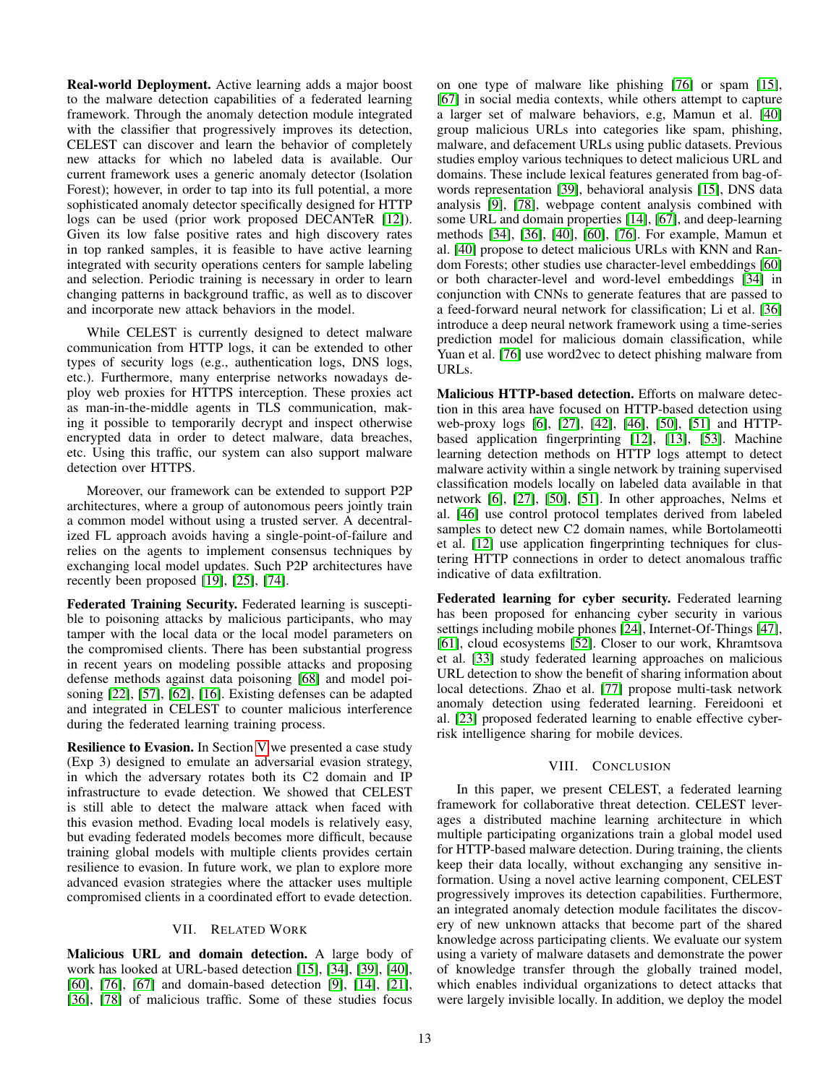Real-world Deployment. Active learning adds a major boost to the malware detection capabilities of a federated learning framework. Through the anomaly detection module integrated with the classifier that progressively improves its detection, CELEST can discover and learn the behavior of completely new attacks for which no labeled data is available. Our current framework uses a generic anomaly detector (Isolation Forest); however, in order to tap into its full potential, a more sophisticated anomaly detector specifically designed for HTTP logs can be used (prior work proposed DECANTeR [\[12\]](#page-13-5)). Given its low false positive rates and high discovery rates in top ranked samples, it is feasible to have active learning integrated with security operations centers for sample labeling and selection. Periodic training is necessary in order to learn changing patterns in background traffic, as well as to discover and incorporate new attack behaviors in the model.

While CELEST is currently designed to detect malware communication from HTTP logs, it can be extended to other types of security logs (e.g., authentication logs, DNS logs, etc.). Furthermore, many enterprise networks nowadays deploy web proxies for HTTPS interception. These proxies act as man-in-the-middle agents in TLS communication, making it possible to temporarily decrypt and inspect otherwise encrypted data in order to detect malware, data breaches, etc. Using this traffic, our system can also support malware detection over HTTPS.

Moreover, our framework can be extended to support P2P architectures, where a group of autonomous peers jointly train a common model without using a trusted server. A decentralized FL approach avoids having a single-point-of-failure and relies on the agents to implement consensus techniques by exchanging local model updates. Such P2P architectures have recently been proposed [\[19\]](#page-13-25), [\[25\]](#page-13-26), [\[74\]](#page-15-6).

Federated Training Security. Federated learning is susceptible to poisoning attacks by malicious participants, who may tamper with the local data or the local model parameters on the compromised clients. There has been substantial progress in recent years on modeling possible attacks and proposing defense methods against data poisoning [\[68\]](#page-14-30) and model poisoning [\[22\]](#page-13-27), [\[57\]](#page-14-31), [\[62\]](#page-14-32), [\[16\]](#page-13-12). Existing defenses can be adapted and integrated in CELEST to counter malicious interference during the federated learning training process.

Resilience to Evasion. In Section [V](#page-10-0) we presented a case study (Exp 3) designed to emulate an adversarial evasion strategy, in which the adversary rotates both its C2 domain and IP infrastructure to evade detection. We showed that CELEST is still able to detect the malware attack when faced with this evasion method. Evading local models is relatively easy, but evading federated models becomes more difficult, because training global models with multiple clients provides certain resilience to evasion. In future work, we plan to explore more advanced evasion strategies where the attacker uses multiple compromised clients in a coordinated effort to evade detection.

## VII. RELATED WORK

Malicious URL and domain detection. A large body of work has looked at URL-based detection [\[15\]](#page-13-28), [\[34\]](#page-14-14), [\[39\]](#page-14-1), [\[40\]](#page-14-2), [\[60\]](#page-14-20), [\[76\]](#page-15-7), [\[67\]](#page-14-33) and domain-based detection [\[9\]](#page-13-2), [\[14\]](#page-13-19), [\[21\]](#page-13-3), [\[36\]](#page-14-34), [\[78\]](#page-15-8) of malicious traffic. Some of these studies focus on one type of malware like phishing [\[76\]](#page-15-7) or spam [\[15\]](#page-13-28), [\[67\]](#page-14-33) in social media contexts, while others attempt to capture a larger set of malware behaviors, e.g, Mamun et al. [\[40\]](#page-14-2) group malicious URLs into categories like spam, phishing, malware, and defacement URLs using public datasets. Previous studies employ various techniques to detect malicious URL and domains. These include lexical features generated from bag-ofwords representation [\[39\]](#page-14-1), behavioral analysis [\[15\]](#page-13-28), DNS data analysis [\[9\]](#page-13-2), [\[78\]](#page-15-8), webpage content analysis combined with some URL and domain properties [\[14\]](#page-13-19), [\[67\]](#page-14-33), and deep-learning methods [\[34\]](#page-14-14), [\[36\]](#page-14-34), [\[40\]](#page-14-2), [\[60\]](#page-14-20), [\[76\]](#page-15-7). For example, Mamun et al. [\[40\]](#page-14-2) propose to detect malicious URLs with KNN and Random Forests; other studies use character-level embeddings [\[60\]](#page-14-20) or both character-level and word-level embeddings [\[34\]](#page-14-14) in conjunction with CNNs to generate features that are passed to a feed-forward neural network for classification; Li et al. [\[36\]](#page-14-34) introduce a deep neural network framework using a time-series prediction model for malicious domain classification, while Yuan et al. [\[76\]](#page-15-7) use word2vec to detect phishing malware from URLs.

Malicious HTTP-based detection. Efforts on malware detection in this area have focused on HTTP-based detection using web-proxy logs [\[6\]](#page-13-4), [\[27\]](#page-13-6), [\[42\]](#page-14-8), [\[46\]](#page-14-3), [\[50\]](#page-14-4), [\[51\]](#page-14-5) and HTTPbased application fingerprinting [\[12\]](#page-13-5), [\[13\]](#page-13-11), [\[53\]](#page-14-9). Machine learning detection methods on HTTP logs attempt to detect malware activity within a single network by training supervised classification models locally on labeled data available in that network [\[6\]](#page-13-4), [\[27\]](#page-13-6), [\[50\]](#page-14-4), [\[51\]](#page-14-5). In other approaches, Nelms et al. [\[46\]](#page-14-3) use control protocol templates derived from labeled samples to detect new C2 domain names, while Bortolameotti et al. [\[12\]](#page-13-5) use application fingerprinting techniques for clustering HTTP connections in order to detect anomalous traffic indicative of data exfiltration.

Federated learning for cyber security. Federated learning has been proposed for enhancing cyber security in various settings including mobile phones [\[24\]](#page-13-29), Internet-Of-Things [\[47\]](#page-14-35), [\[61\]](#page-14-36), cloud ecosystems [\[52\]](#page-14-37). Closer to our work, Khramtsova et al. [\[33\]](#page-14-19) study federated learning approaches on malicious URL detection to show the benefit of sharing information about local detections. Zhao et al. [\[77\]](#page-15-9) propose multi-task network anomaly detection using federated learning. Fereidooni et al. [\[23\]](#page-13-8) proposed federated learning to enable effective cyberrisk intelligence sharing for mobile devices.

## VIII. CONCLUSION

In this paper, we present CELEST, a federated learning framework for collaborative threat detection. CELEST leverages a distributed machine learning architecture in which multiple participating organizations train a global model used for HTTP-based malware detection. During training, the clients keep their data locally, without exchanging any sensitive information. Using a novel active learning component, CELEST progressively improves its detection capabilities. Furthermore, an integrated anomaly detection module facilitates the discovery of new unknown attacks that become part of the shared knowledge across participating clients. We evaluate our system using a variety of malware datasets and demonstrate the power of knowledge transfer through the globally trained model, which enables individual organizations to detect attacks that were largely invisible locally. In addition, we deploy the model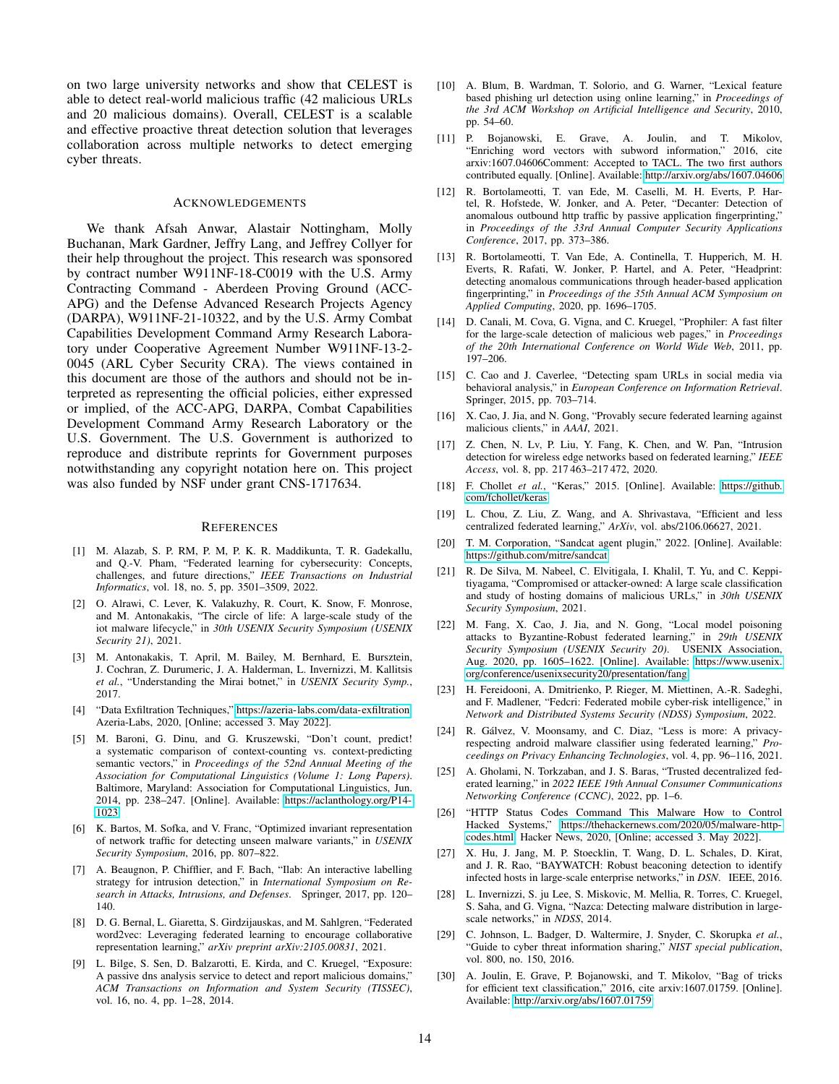on two large university networks and show that CELEST is able to detect real-world malicious traffic (42 malicious URLs and 20 malicious domains). Overall, CELEST is a scalable and effective proactive threat detection solution that leverages collaboration across multiple networks to detect emerging cyber threats.

# ACKNOWLEDGEMENTS

We thank Afsah Anwar, Alastair Nottingham, Molly Buchanan, Mark Gardner, Jeffry Lang, and Jeffrey Collyer for their help throughout the project. This research was sponsored by contract number W911NF-18-C0019 with the U.S. Army Contracting Command - Aberdeen Proving Ground (ACC-APG) and the Defense Advanced Research Projects Agency (DARPA), W911NF-21-10322, and by the U.S. Army Combat Capabilities Development Command Army Research Laboratory under Cooperative Agreement Number W911NF-13-2- 0045 (ARL Cyber Security CRA). The views contained in this document are those of the authors and should not be interpreted as representing the official policies, either expressed or implied, of the ACC-APG, DARPA, Combat Capabilities Development Command Army Research Laboratory or the U.S. Government. The U.S. Government is authorized to reproduce and distribute reprints for Government purposes notwithstanding any copyright notation here on. This project was also funded by NSF under grant CNS-1717634.

#### **REFERENCES**

- <span id="page-13-13"></span>[1] M. Alazab, S. P. RM, P. M, P. K. R. Maddikunta, T. R. Gadekallu, and Q.-V. Pham, "Federated learning for cybersecurity: Concepts, challenges, and future directions," *IEEE Transactions on Industrial Informatics*, vol. 18, no. 5, pp. 3501–3509, 2022.
- <span id="page-13-22"></span>[2] O. Alrawi, C. Lever, K. Valakuzhy, R. Court, K. Snow, F. Monrose, and M. Antonakakis, "The circle of life: A large-scale study of the iot malware lifecycle," in *30th USENIX Security Symposium (USENIX Security 21)*, 2021.
- <span id="page-13-0"></span>[3] M. Antonakakis, T. April, M. Bailey, M. Bernhard, E. Bursztein, J. Cochran, Z. Durumeric, J. A. Halderman, L. Invernizzi, M. Kallitsis *et al.*, "Understanding the Mirai botnet," in *USENIX Security Symp.*, 2017.
- <span id="page-13-9"></span>[4] "Data Exfiltration Techniques," [https://azeria-labs.com/data-exfiltration,](https://azeria-labs.com/data-exfiltration) Azeria-Labs, 2020, [Online; accessed 3. May 2022].
- <span id="page-13-15"></span>[5] M. Baroni, G. Dinu, and G. Kruszewski, "Don't count, predict! a systematic comparison of context-counting vs. context-predicting semantic vectors," in *Proceedings of the 52nd Annual Meeting of the Association for Computational Linguistics (Volume 1: Long Papers)*. Baltimore, Maryland: Association for Computational Linguistics, Jun. 2014, pp. 238–247. [Online]. Available: [https://aclanthology.org/P14-](https://aclanthology.org/P14-1023) [1023](https://aclanthology.org/P14-1023)
- <span id="page-13-4"></span>[6] K. Bartos, M. Sofka, and V. Franc, "Optimized invariant representation of network traffic for detecting unseen malware variants," in *USENIX Security Symposium*, 2016, pp. 807–822.
- <span id="page-13-21"></span>[7] A. Beaugnon, P. Chifflier, and F. Bach, "Ilab: An interactive labelling strategy for intrusion detection," in *International Symposium on Research in Attacks, Intrusions, and Defenses*. Springer, 2017, pp. 120– 140.
- <span id="page-13-20"></span>[8] D. G. Bernal, L. Giaretta, S. Girdzijauskas, and M. Sahlgren, "Federated word2vec: Leveraging federated learning to encourage collaborative representation learning," *arXiv preprint arXiv:2105.00831*, 2021.
- <span id="page-13-2"></span>[9] L. Bilge, S. Sen, D. Balzarotti, E. Kirda, and C. Kruegel, "Exposure: A passive dns analysis service to detect and report malicious domains," *ACM Transactions on Information and System Security (TISSEC)*, vol. 16, no. 4, pp. 1–28, 2014.
- <span id="page-13-18"></span>[10] A. Blum, B. Wardman, T. Solorio, and G. Warner, "Lexical feature based phishing url detection using online learning," in *Proceedings of the 3rd ACM Workshop on Artificial Intelligence and Security*, 2010, pp. 54–60.
- <span id="page-13-16"></span>[11] P. Bojanowski, E. Grave, A. Joulin, and T. Mikolov, "Enriching word vectors with subword information," 2016, cite arxiv:1607.04606Comment: Accepted to TACL. The two first authors contributed equally. [Online]. Available:<http://arxiv.org/abs/1607.04606>
- <span id="page-13-5"></span>[12] R. Bortolameotti, T. van Ede, M. Caselli, M. H. Everts, P. Hartel, R. Hofstede, W. Jonker, and A. Peter, "Decanter: Detection of anomalous outbound http traffic by passive application fingerprinting," in *Proceedings of the 33rd Annual Computer Security Applications Conference*, 2017, pp. 373–386.
- <span id="page-13-11"></span>[13] R. Bortolameotti, T. Van Ede, A. Continella, T. Hupperich, M. H. Everts, R. Rafati, W. Jonker, P. Hartel, and A. Peter, "Headprint: detecting anomalous communications through header-based application fingerprinting," in *Proceedings of the 35th Annual ACM Symposium on Applied Computing*, 2020, pp. 1696–1705.
- <span id="page-13-19"></span>[14] D. Canali, M. Cova, G. Vigna, and C. Kruegel, "Prophiler: A fast filter for the large-scale detection of malicious web pages," in *Proceedings of the 20th International Conference on World Wide Web*, 2011, pp. 197–206.
- <span id="page-13-28"></span>[15] C. Cao and J. Caverlee, "Detecting spam URLs in social media via behavioral analysis," in *European Conference on Information Retrieval*. Springer, 2015, pp. 703–714.
- <span id="page-13-12"></span>[16] X. Cao, J. Jia, and N. Gong, "Provably secure federated learning against malicious clients," in *AAAI*, 2021.
- <span id="page-13-14"></span>[17] Z. Chen, N. Lv, P. Liu, Y. Fang, K. Chen, and W. Pan, "Intrusion detection for wireless edge networks based on federated learning," *IEEE Access*, vol. 8, pp. 217 463–217 472, 2020.
- <span id="page-13-23"></span>[18] F. Chollet *et al.*, "Keras," 2015. [Online]. Available: [https://github.](https://github.com/fchollet/keras) [com/fchollet/keras](https://github.com/fchollet/keras)
- <span id="page-13-25"></span>[19] L. Chou, Z. Liu, Z. Wang, and A. Shrivastava, "Efficient and less centralized federated learning," *ArXiv*, vol. abs/2106.06627, 2021.
- <span id="page-13-24"></span>[20] T. M. Corporation, "Sandcat agent plugin," 2022. [Online]. Available: <https://github.com/mitre/sandcat>
- <span id="page-13-3"></span>[21] R. De Silva, M. Nabeel, C. Elvitigala, I. Khalil, T. Yu, and C. Keppitiyagama, "Compromised or attacker-owned: A large scale classification and study of hosting domains of malicious URLs," in *30th USENIX Security Symposium*, 2021.
- <span id="page-13-27"></span>[22] M. Fang, X. Cao, J. Jia, and N. Gong, "Local model poisoning attacks to Byzantine-Robust federated learning," in *29th USENIX Security Symposium (USENIX Security 20)*. USENIX Association, Aug. 2020, pp. 1605–1622. [Online]. Available: [https://www.usenix.](https://www.usenix.org/conference/usenixsecurity20/presentation/fang) [org/conference/usenixsecurity20/presentation/fang](https://www.usenix.org/conference/usenixsecurity20/presentation/fang)
- <span id="page-13-8"></span>[23] H. Fereidooni, A. Dmitrienko, P. Rieger, M. Miettinen, A.-R. Sadeghi, and F. Madlener, "Fedcri: Federated mobile cyber-risk intelligence," in *Network and Distributed Systems Security (NDSS) Symposium*, 2022.
- <span id="page-13-29"></span>[24] R. Gálvez, V. Moonsamy, and C. Diaz, "Less is more: A privacyrespecting android malware classifier using federated learning," *Proceedings on Privacy Enhancing Technologies*, vol. 4, pp. 96–116, 2021.
- <span id="page-13-26"></span>[25] A. Gholami, N. Torkzaban, and J. S. Baras, "Trusted decentralized federated learning," in *2022 IEEE 19th Annual Consumer Communications Networking Conference (CCNC)*, 2022, pp. 1–6.
- <span id="page-13-10"></span>[26] "HTTP Status Codes Command This Malware How to Control Hacked Systems," [https://thehackernews.com/2020/05/malware-http](https://thehackernews.com/2020/05/malware-http-codes.html)[codes.html,](https://thehackernews.com/2020/05/malware-http-codes.html) Hacker News, 2020, [Online; accessed 3. May 2022].
- <span id="page-13-6"></span>[27] X. Hu, J. Jang, M. P. Stoecklin, T. Wang, D. L. Schales, D. Kirat, and J. R. Rao, "BAYWATCH: Robust beaconing detection to identify infected hosts in large-scale enterprise networks," in *DSN*. IEEE, 2016.
- <span id="page-13-1"></span>[28] L. Invernizzi, S. ju Lee, S. Miskovic, M. Mellia, R. Torres, C. Kruegel, S. Saha, and G. Vigna, "Nazca: Detecting malware distribution in largescale networks," in *NDSS*, 2014.
- <span id="page-13-7"></span>[29] C. Johnson, L. Badger, D. Waltermire, J. Snyder, C. Skorupka *et al.*, "Guide to cyber threat information sharing," *NIST special publication*, vol. 800, no. 150, 2016.
- <span id="page-13-17"></span>[30] A. Joulin, E. Grave, P. Bojanowski, and T. Mikolov, "Bag of tricks for efficient text classification," 2016, cite arxiv:1607.01759. [Online]. Available:<http://arxiv.org/abs/1607.01759>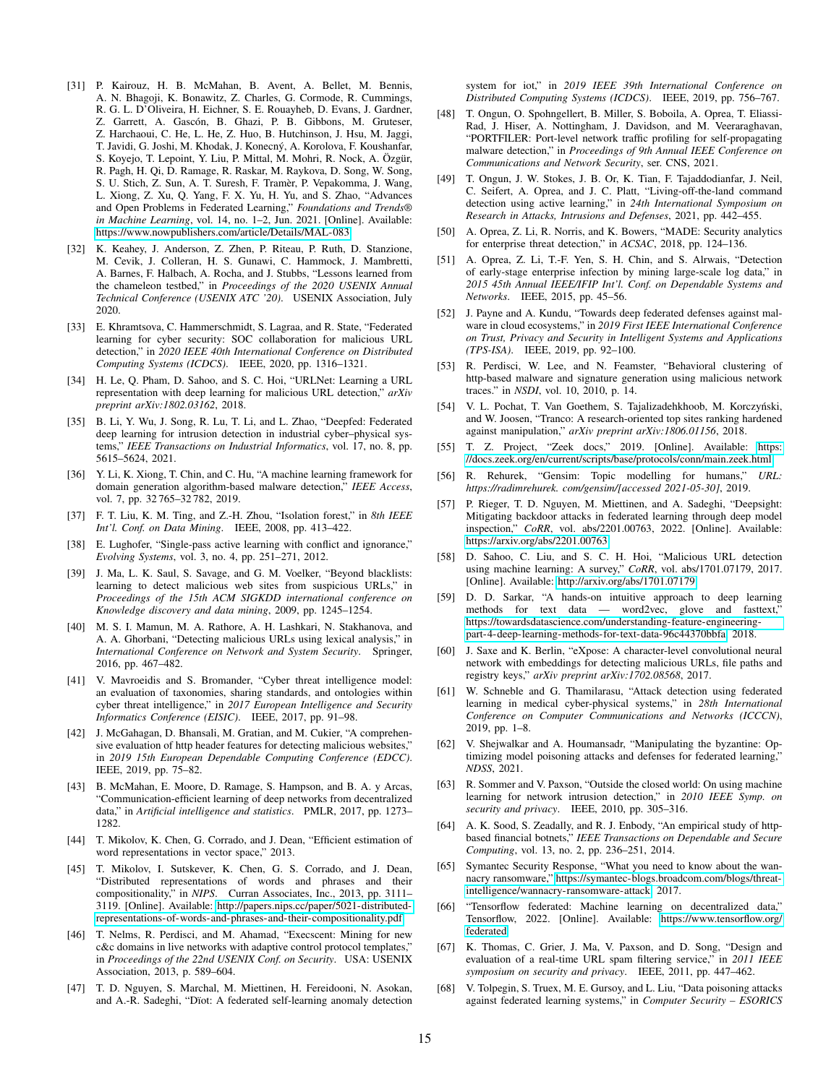- <span id="page-14-12"></span>[31] P. Kairouz, H. B. McMahan, B. Avent, A. Bellet, M. Bennis, A. N. Bhagoji, K. Bonawitz, Z. Charles, G. Cormode, R. Cummings, R. G. L. D'Oliveira, H. Eichner, S. E. Rouayheb, D. Evans, J. Gardner, Z. Garrett, A. Gascón, B. Ghazi, P. B. Gibbons, M. Gruteser, Z. Harchaoui, C. He, L. He, Z. Huo, B. Hutchinson, J. Hsu, M. Jaggi, T. Javidi, G. Joshi, M. Khodak, J. Konecný, A. Korolova, F. Koushanfar, S. Koyejo, T. Lepoint, Y. Liu, P. Mittal, M. Mohri, R. Nock, A. Özgür, R. Pagh, H. Qi, D. Ramage, R. Raskar, M. Raykova, D. Song, W. Song, S. U. Stich, Z. Sun, A. T. Suresh, F. Tramer, P. Vepakomma, J. Wang, ` L. Xiong, Z. Xu, Q. Yang, F. X. Yu, H. Yu, and S. Zhao, "Advances and Open Problems in Federated Learning," *Foundations and Trends® in Machine Learning*, vol. 14, no. 1–2, Jun. 2021. [Online]. Available: <https://www.nowpublishers.com/article/Details/MAL-083>
- <span id="page-14-29"></span>[32] K. Keahey, J. Anderson, Z. Zhen, P. Riteau, P. Ruth, D. Stanzione, M. Cevik, J. Colleran, H. S. Gunawi, C. Hammock, J. Mambretti, A. Barnes, F. Halbach, A. Rocha, and J. Stubbs, "Lessons learned from the chameleon testbed," in *Proceedings of the 2020 USENIX Annual Technical Conference (USENIX ATC '20)*. USENIX Association, July 2020.
- <span id="page-14-19"></span>[33] E. Khramtsova, C. Hammerschmidt, S. Lagraa, and R. State, "Federated learning for cyber security: SOC collaboration for malicious URL detection," in *2020 IEEE 40th International Conference on Distributed Computing Systems (ICDCS)*. IEEE, 2020, pp. 1316–1321.
- <span id="page-14-14"></span>[34] H. Le, O. Pham, D. Sahoo, and S. C. Hoi, "URLNet: Learning a URL representation with deep learning for malicious URL detection," *arXiv preprint arXiv:1802.03162*, 2018.
- <span id="page-14-13"></span>[35] B. Li, Y. Wu, J. Song, R. Lu, T. Li, and L. Zhao, "Deepfed: Federated deep learning for intrusion detection in industrial cyber–physical systems," *IEEE Transactions on Industrial Informatics*, vol. 17, no. 8, pp. 5615–5624, 2021.
- <span id="page-14-34"></span>[36] Y. Li, K. Xiong, T. Chin, and C. Hu, "A machine learning framework for domain generation algorithm-based malware detection," *IEEE Access*, vol. 7, pp. 32 765–32 782, 2019.
- <span id="page-14-28"></span>[37] F. T. Liu, K. M. Ting, and Z.-H. Zhou, "Isolation forest," in *8th IEEE Int'l. Conf. on Data Mining*. IEEE, 2008, pp. 413–422.
- <span id="page-14-21"></span>[38] E. Lughofer, "Single-pass active learning with conflict and ignorance," *Evolving Systems*, vol. 3, no. 4, pp. 251–271, 2012.
- <span id="page-14-1"></span>[39] J. Ma, L. K. Saul, S. Savage, and G. M. Voelker, "Beyond blacklists: learning to detect malicious web sites from suspicious URLs," in *Proceedings of the 15th ACM SIGKDD international conference on Knowledge discovery and data mining*, 2009, pp. 1245–1254.
- <span id="page-14-2"></span>[40] M. S. I. Mamun, M. A. Rathore, A. H. Lashkari, N. Stakhanova, and A. A. Ghorbani, "Detecting malicious URLs using lexical analysis," in *International Conference on Network and System Security*. Springer, 2016, pp. 467–482.
- <span id="page-14-6"></span>[41] V. Mavroeidis and S. Bromander, "Cyber threat intelligence model: an evaluation of taxonomies, sharing standards, and ontologies within cyber threat intelligence," in *2017 European Intelligence and Security Informatics Conference (EISIC)*. IEEE, 2017, pp. 91–98.
- <span id="page-14-8"></span>[42] J. McGahagan, D. Bhansali, M. Gratian, and M. Cukier, "A comprehensive evaluation of http header features for detecting malicious websites," in *2019 15th European Dependable Computing Conference (EDCC)*. IEEE, 2019, pp. 75–82.
- <span id="page-14-11"></span>[43] B. McMahan, E. Moore, D. Ramage, S. Hampson, and B. A. y Arcas, "Communication-efficient learning of deep networks from decentralized data," in *Artificial intelligence and statistics*. PMLR, 2017, pp. 1273– 1282.
- <span id="page-14-17"></span>[44] T. Mikolov, K. Chen, G. Corrado, and J. Dean, "Efficient estimation of word representations in vector space," 2013.
- <span id="page-14-18"></span>[45] T. Mikolov, I. Sutskever, K. Chen, G. S. Corrado, and J. Dean, "Distributed representations of words and phrases and their compositionality," in *NIPS*. Curran Associates, Inc., 2013, pp. 3111– 3119. [Online]. Available: [http://papers.nips.cc/paper/5021-distributed](http://papers.nips.cc/paper/5021-distributed-representations-of-words-and-phrases-and-their-compositionality.pdf)[representations-of-words-and-phrases-and-their-compositionality.pdf](http://papers.nips.cc/paper/5021-distributed-representations-of-words-and-phrases-and-their-compositionality.pdf)
- <span id="page-14-3"></span>[46] T. Nelms, R. Perdisci, and M. Ahamad, "Execscent: Mining for new c&c domains in live networks with adaptive control protocol templates,' in *Proceedings of the 22nd USENIX Conf. on Security*. USA: USENIX Association, 2013, p. 589–604.
- <span id="page-14-35"></span>[47] T. D. Nguyen, S. Marchal, M. Miettinen, H. Fereidooni, N. Asokan, and A.-R. Sadeghi, "Dïot: A federated self-learning anomaly detection

system for iot," in *2019 IEEE 39th International Conference on Distributed Computing Systems (ICDCS)*. IEEE, 2019, pp. 756–767.

- <span id="page-14-22"></span>[48] T. Ongun, O. Spohngellert, B. Miller, S. Boboila, A. Oprea, T. Eliassi-Rad, J. Hiser, A. Nottingham, J. Davidson, and M. Veeraraghavan, "PORTFILER: Port-level network traffic profiling for self-propagating malware detection," in *Proceedings of 9th Annual IEEE Conference on Communications and Network Security*, ser. CNS, 2021.
- <span id="page-14-23"></span>[49] T. Ongun, J. W. Stokes, J. B. Or, K. Tian, F. Tajaddodianfar, J. Neil, C. Seifert, A. Oprea, and J. C. Platt, "Living-off-the-land command detection using active learning," in *24th International Symposium on Research in Attacks, Intrusions and Defenses*, 2021, pp. 442–455.
- <span id="page-14-4"></span>[50] A. Oprea, Z. Li, R. Norris, and K. Bowers, "MADE: Security analytics for enterprise threat detection," in *ACSAC*, 2018, pp. 124–136.
- <span id="page-14-5"></span>[51] A. Oprea, Z. Li, T.-F. Yen, S. H. Chin, and S. Alrwais, "Detection of early-stage enterprise infection by mining large-scale log data," in *2015 45th Annual IEEE/IFIP Int'l. Conf. on Dependable Systems and Networks*. IEEE, 2015, pp. 45–56.
- <span id="page-14-37"></span>[52] J. Payne and A. Kundu, "Towards deep federated defenses against malware in cloud ecosystems," in *2019 First IEEE International Conference on Trust, Privacy and Security in Intelligent Systems and Applications (TPS-ISA)*. IEEE, 2019, pp. 92–100.
- <span id="page-14-9"></span>[53] R. Perdisci, W. Lee, and N. Feamster, "Behavioral clustering of http-based malware and signature generation using malicious network traces." in *NSDI*, vol. 10, 2010, p. 14.
- <span id="page-14-25"></span>[54] V. L. Pochat, T. Van Goethem, S. Tajalizadehkhoob, M. Korczyński, and W. Joosen, "Tranco: A research-oriented top sites ranking hardened against manipulation," *arXiv preprint arXiv:1806.01156*, 2018.
- <span id="page-14-24"></span>[55] T. Z. Project, "Zeek docs," 2019. [Online]. Available: [https:](https://docs.zeek.org/en/current/scripts/base/protocols/conn/main.zeek.html) [//docs.zeek.org/en/current/scripts/base/protocols/conn/main.zeek.html](https://docs.zeek.org/en/current/scripts/base/protocols/conn/main.zeek.html)
- <span id="page-14-27"></span>[56] R. Rehurek, "Gensim: Topic modelling for humans," *URL: https://radimrehurek. com/gensim/[accessed 2021-05-30]*, 2019.
- <span id="page-14-31"></span>[57] P. Rieger, T. D. Nguyen, M. Miettinen, and A. Sadeghi, "Deepsight: Mitigating backdoor attacks in federated learning through deep model inspection," *CoRR*, vol. abs/2201.00763, 2022. [Online]. Available: <https://arxiv.org/abs/2201.00763>
- <span id="page-14-15"></span>[58] D. Sahoo, C. Liu, and S. C. H. Hoi, "Malicious URL detection using machine learning: A survey," *CoRR*, vol. abs/1701.07179, 2017. [Online]. Available:<http://arxiv.org/abs/1701.07179>
- <span id="page-14-16"></span>[59] D. D. Sarkar, "A hands-on intuitive approach to deep learning methods for text data — word2vec, glove and fasttext," [https://towardsdatascience.com/understanding-feature-engineering](https://towardsdatascience.com/understanding-feature-engineering-part-4-deep-learning-methods-for-text-data-96c44370bbfa)[part-4-deep-learning-methods-for-text-data-96c44370bbfa,](https://towardsdatascience.com/understanding-feature-engineering-part-4-deep-learning-methods-for-text-data-96c44370bbfa) 2018.
- <span id="page-14-20"></span>[60] J. Saxe and K. Berlin, "eXpose: A character-level convolutional neural network with embeddings for detecting malicious URLs, file paths and registry keys," *arXiv preprint arXiv:1702.08568*, 2017.
- <span id="page-14-36"></span>[61] W. Schneble and G. Thamilarasu, "Attack detection using federated learning in medical cyber-physical systems," in *28th International Conference on Computer Communications and Networks (ICCCN)*, 2019, pp. 1–8.
- <span id="page-14-32"></span>[62] V. Shejwalkar and A. Houmansadr, "Manipulating the byzantine: Optimizing model poisoning attacks and defenses for federated learning," *NDSS*, 2021.
- <span id="page-14-10"></span>[63] R. Sommer and V. Paxson, "Outside the closed world: On using machine learning for network intrusion detection," in *2010 IEEE Symp. on security and privacy*. IEEE, 2010, pp. 305–316.
- <span id="page-14-7"></span>[64] A. K. Sood, S. Zeadally, and R. J. Enbody, "An empirical study of httpbased financial botnets," *IEEE Transactions on Dependable and Secure Computing*, vol. 13, no. 2, pp. 236–251, 2014.
- <span id="page-14-0"></span>[65] Symantec Security Response, "What you need to know about the wannacry ransomware," [https://symantec-blogs.broadcom.com/blogs/threat](https://symantec-blogs.broadcom.com/blogs/threat-intelligence/wannacry-ransomware-attack)[intelligence/wannacry-ransomware-attack,](https://symantec-blogs.broadcom.com/blogs/threat-intelligence/wannacry-ransomware-attack) 2017.
- <span id="page-14-26"></span>[66] "Tensorflow federated: Machine learning on decentralized data," Tensorflow, 2022. [Online]. Available: [https://www.tensorflow.org/](https://www.tensorflow.org/federated) [federated](https://www.tensorflow.org/federated)
- <span id="page-14-33"></span>[67] K. Thomas, C. Grier, J. Ma, V. Paxson, and D. Song, "Design and evaluation of a real-time URL spam filtering service," in *2011 IEEE symposium on security and privacy*. IEEE, 2011, pp. 447–462.
- <span id="page-14-30"></span>[68] V. Tolpegin, S. Truex, M. E. Gursoy, and L. Liu, "Data poisoning attacks against federated learning systems," in *Computer Security – ESORICS*